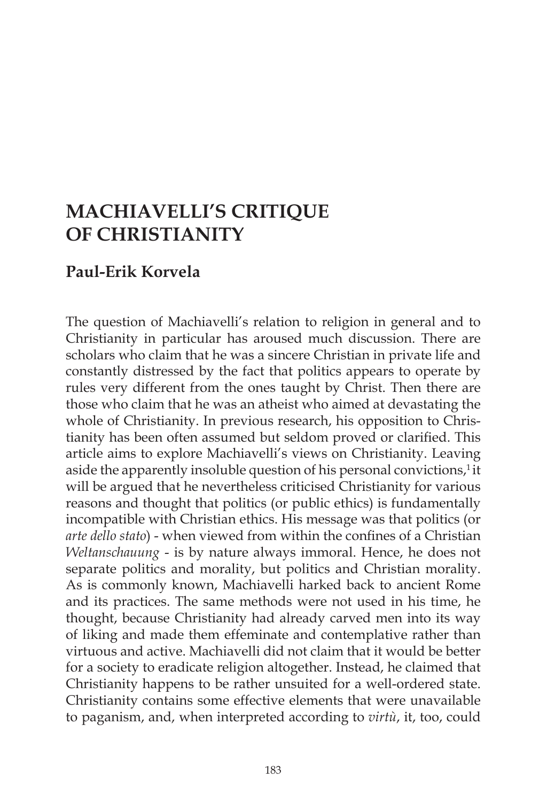# **Paul-Erik Korvela**

The question of Machiavelli's relation to religion in general and to Christianity in particular has aroused much discussion. There are scholars who claim that he was a sincere Christian in private life and constantly distressed by the fact that politics appears to operate by rules very different from the ones taught by Christ. Then there are those who claim that he was an atheist who aimed at devastating the whole of Christianity. In previous research, his opposition to Christianity has been often assumed but seldom proved or clarified. This article aims to explore Machiavelli's views on Christianity. Leaving aside the apparently insoluble question of his personal convictions,<sup>1</sup> it will be argued that he nevertheless criticised Christianity for various reasons and thought that politics (or public ethics) is fundamentally incompatible with Christian ethics. His message was that politics (or *arte dello stato*) - when viewed from within the confines of a Christian *Weltanschauung* - is by nature always immoral. Hence, he does not separate politics and morality, but politics and Christian morality. As is commonly known, Machiavelli harked back to ancient Rome and its practices. The same methods were not used in his time, he thought, because Christianity had already carved men into its way of liking and made them effeminate and contemplative rather than virtuous and active. Machiavelli did not claim that it would be better for a society to eradicate religion altogether. Instead, he claimed that Christianity happens to be rather unsuited for a well-ordered state. Christianity contains some effective elements that were unavailable to paganism, and, when interpreted according to *virtù*, it, too, could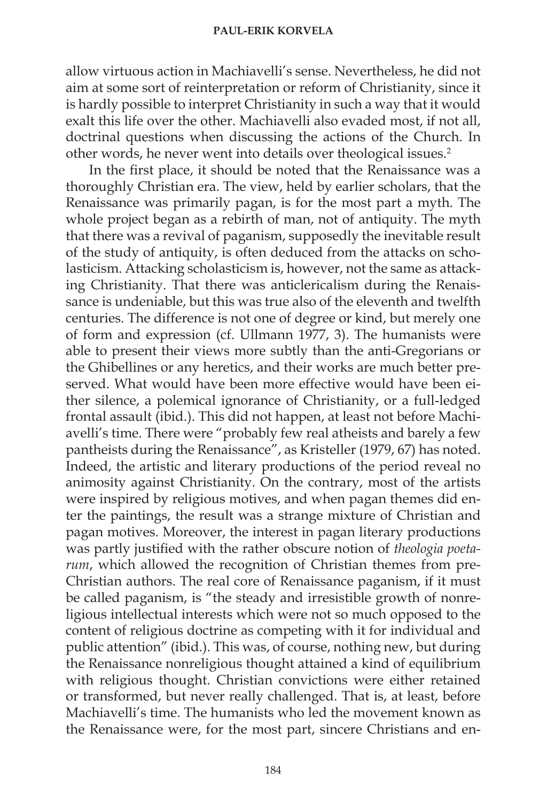allow virtuous action in Machiavelli's sense. Nevertheless, he did not aim at some sort of reinterpretation or reform of Christianity, since it is hardly possible to interpret Christianity in such a way that it would exalt this life over the other. Machiavelli also evaded most, if not all, doctrinal questions when discussing the actions of the Church. In other words, he never went into details over theological issues.2

In the first place, it should be noted that the Renaissance was a thoroughly Christian era. The view, held by earlier scholars, that the Renaissance was primarily pagan, is for the most part a myth. The whole project began as a rebirth of man, not of antiquity. The myth that there was a revival of paganism, supposedly the inevitable result of the study of antiquity, is often deduced from the attacks on scholasticism. Attacking scholasticism is, however, not the same as attacking Christianity. That there was anticlericalism during the Renaissance is undeniable, but this was true also of the eleventh and twelfth centuries. The difference is not one of degree or kind, but merely one of form and expression (cf. Ullmann 1977, 3). The humanists were able to present their views more subtly than the anti-Gregorians or the Ghibellines or any heretics, and their works are much better preserved. What would have been more effective would have been either silence, a polemical ignorance of Christianity, or a full-ledged frontal assault (ibid.). This did not happen, at least not before Machiavelli's time. There were "probably few real atheists and barely a few pantheists during the Renaissance", as Kristeller (1979, 67) has noted. Indeed, the artistic and literary productions of the period reveal no animosity against Christianity. On the contrary, most of the artists were inspired by religious motives, and when pagan themes did enter the paintings, the result was a strange mixture of Christian and pagan motives. Moreover, the interest in pagan literary productions was partly justified with the rather obscure notion of *theologia poetarum*, which allowed the recognition of Christian themes from pre-Christian authors. The real core of Renaissance paganism, if it must be called paganism, is "the steady and irresistible growth of nonreligious intellectual interests which were not so much opposed to the content of religious doctrine as competing with it for individual and public attention" (ibid.). This was, of course, nothing new, but during the Renaissance nonreligious thought attained a kind of equilibrium with religious thought. Christian convictions were either retained or transformed, but never really challenged. That is, at least, before Machiavelli's time. The humanists who led the movement known as the Renaissance were, for the most part, sincere Christians and en-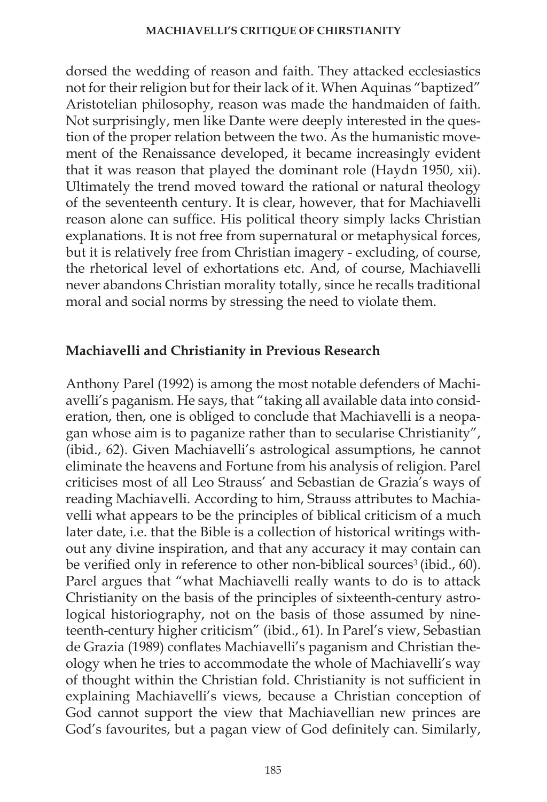dorsed the wedding of reason and faith. They attacked ecclesiastics not for their religion but for their lack of it. When Aquinas "baptized" Aristotelian philosophy, reason was made the handmaiden of faith. Not surprisingly, men like Dante were deeply interested in the question of the proper relation between the two. As the humanistic movement of the Renaissance developed, it became increasingly evident that it was reason that played the dominant role (Haydn 1950, xii). Ultimately the trend moved toward the rational or natural theology of the seventeenth century. It is clear, however, that for Machiavelli reason alone can suffice. His political theory simply lacks Christian explanations. It is not free from supernatural or metaphysical forces, but it is relatively free from Christian imagery - excluding, of course, the rhetorical level of exhortations etc. And, of course, Machiavelli never abandons Christian morality totally, since he recalls traditional moral and social norms by stressing the need to violate them.

## **Machiavelli and Christianity in Previous Research**

Anthony Parel (1992) is among the most notable defenders of Machiavelli's paganism. He says, that "taking all available data into consideration, then, one is obliged to conclude that Machiavelli is a neopagan whose aim is to paganize rather than to secularise Christianity", (ibid., 62). Given Machiavelli's astrological assumptions, he cannot eliminate the heavens and Fortune from his analysis of religion. Parel criticises most of all Leo Strauss' and Sebastian de Grazia's ways of reading Machiavelli. According to him, Strauss attributes to Machiavelli what appears to be the principles of biblical criticism of a much later date, i.e. that the Bible is a collection of historical writings without any divine inspiration, and that any accuracy it may contain can be verified only in reference to other non-biblical sources<sup>3</sup> (ibid., 60). Parel argues that "what Machiavelli really wants to do is to attack Christianity on the basis of the principles of sixteenth-century astrological historiography, not on the basis of those assumed by nineteenth-century higher criticism" (ibid., 61). In Parel's view, Sebastian de Grazia (1989) conflates Machiavelli's paganism and Christian theology when he tries to accommodate the whole of Machiavelli's way of thought within the Christian fold. Christianity is not sufficient in explaining Machiavelli's views, because a Christian conception of God cannot support the view that Machiavellian new princes are God's favourites, but a pagan view of God definitely can. Similarly,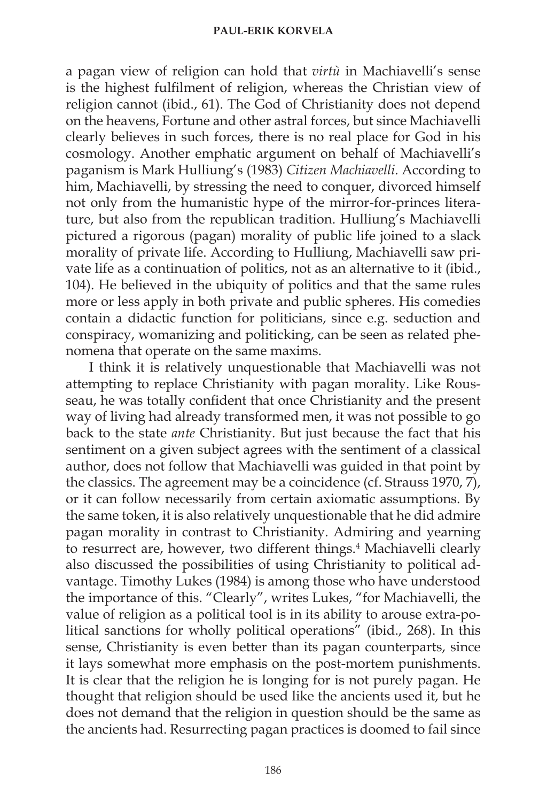a pagan view of religion can hold that *virtù* in Machiavelli's sense is the highest fulfilment of religion, whereas the Christian view of religion cannot (ibid., 61). The God of Christianity does not depend on the heavens, Fortune and other astral forces, but since Machiavelli clearly believes in such forces, there is no real place for God in his cosmology. Another emphatic argument on behalf of Machiavelli's paganism is Mark Hulliung's (1983) *Citizen Machiavelli*. According to him, Machiavelli, by stressing the need to conquer, divorced himself not only from the humanistic hype of the mirror-for-princes literature, but also from the republican tradition. Hulliung's Machiavelli pictured a rigorous (pagan) morality of public life joined to a slack morality of private life. According to Hulliung, Machiavelli saw private life as a continuation of politics, not as an alternative to it (ibid., 104). He believed in the ubiquity of politics and that the same rules more or less apply in both private and public spheres. His comedies contain a didactic function for politicians, since e.g. seduction and conspiracy, womanizing and politicking, can be seen as related phenomena that operate on the same maxims.

I think it is relatively unquestionable that Machiavelli was not attempting to replace Christianity with pagan morality. Like Rousseau, he was totally confident that once Christianity and the present way of living had already transformed men, it was not possible to go back to the state *ante* Christianity. But just because the fact that his sentiment on a given subject agrees with the sentiment of a classical author, does not follow that Machiavelli was guided in that point by the classics. The agreement may be a coincidence (cf. Strauss 1970, 7), or it can follow necessarily from certain axiomatic assumptions. By the same token, it is also relatively unquestionable that he did admire pagan morality in contrast to Christianity. Admiring and yearning to resurrect are, however, two different things.<sup>4</sup> Machiavelli clearly also discussed the possibilities of using Christianity to political advantage. Timothy Lukes (1984) is among those who have understood the importance of this. "Clearly", writes Lukes, "for Machiavelli, the value of religion as a political tool is in its ability to arouse extra-political sanctions for wholly political operations" (ibid., 268). In this sense, Christianity is even better than its pagan counterparts, since it lays somewhat more emphasis on the post-mortem punishments. It is clear that the religion he is longing for is not purely pagan. He thought that religion should be used like the ancients used it, but he does not demand that the religion in question should be the same as the ancients had. Resurrecting pagan practices is doomed to fail since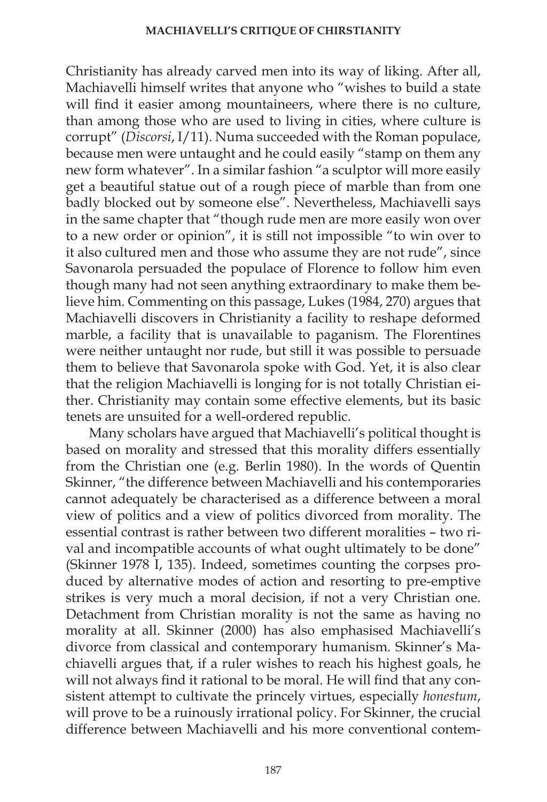Christianity has already carved men into its way of liking. After all, Machiavelli himself writes that anyone who "wishes to build a state will find it easier among mountaineers, where there is no culture, than among those who are used to living in cities, where culture is corrupt" (*Discorsi*, I/11). Numa succeeded with the Roman populace, because men were untaught and he could easily "stamp on them any new form whatever". In a similar fashion "a sculptor will more easily get a beautiful statue out of a rough piece of marble than from one badly blocked out by someone else". Nevertheless, Machiavelli says in the same chapter that "though rude men are more easily won over to a new order or opinion", it is still not impossible "to win over to it also cultured men and those who assume they are not rude", since Savonarola persuaded the populace of Florence to follow him even though many had not seen anything extraordinary to make them believe him. Commenting on this passage, Lukes (1984, 270) argues that Machiavelli discovers in Christianity a facility to reshape deformed marble, a facility that is unavailable to paganism. The Florentines were neither untaught nor rude, but still it was possible to persuade them to believe that Savonarola spoke with God. Yet, it is also clear that the religion Machiavelli is longing for is not totally Christian either. Christianity may contain some effective elements, but its basic tenets are unsuited for a well-ordered republic.

Many scholars have argued that Machiavelli's political thought is based on morality and stressed that this morality differs essentially from the Christian one (e.g. Berlin 1980). In the words of Quentin Skinner, "the difference between Machiavelli and his contemporaries cannot adequately be characterised as a difference between a moral view of politics and a view of politics divorced from morality. The essential contrast is rather between two different moralities – two rival and incompatible accounts of what ought ultimately to be done" (Skinner 1978 I, 135). Indeed, sometimes counting the corpses produced by alternative modes of action and resorting to pre-emptive strikes is very much a moral decision, if not a very Christian one. Detachment from Christian morality is not the same as having no morality at all. Skinner (2000) has also emphasised Machiavelli's divorce from classical and contemporary humanism. Skinner's Machiavelli argues that, if a ruler wishes to reach his highest goals, he will not always find it rational to be moral. He will find that any consistent attempt to cultivate the princely virtues, especially *honestum*, will prove to be a ruinously irrational policy. For Skinner, the crucial difference between Machiavelli and his more conventional contem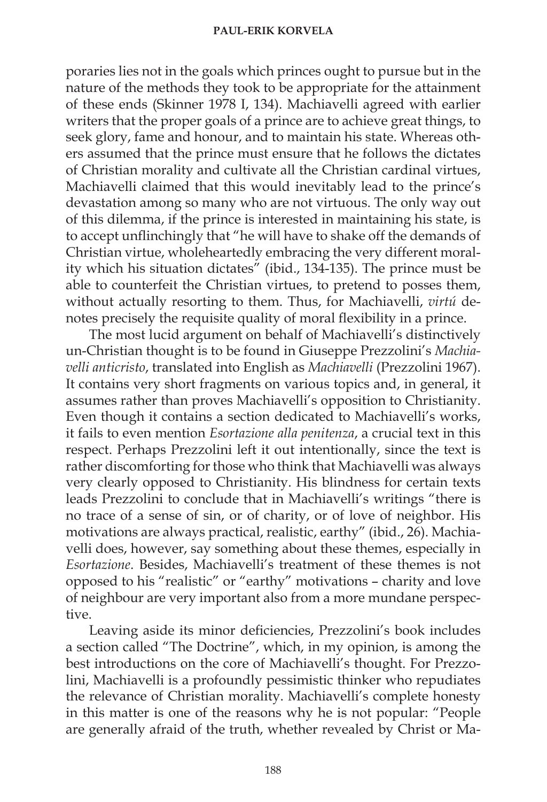poraries lies not in the goals which princes ought to pursue but in the nature of the methods they took to be appropriate for the attainment of these ends (Skinner 1978 I, 134). Machiavelli agreed with earlier writers that the proper goals of a prince are to achieve great things, to seek glory, fame and honour, and to maintain his state. Whereas others assumed that the prince must ensure that he follows the dictates of Christian morality and cultivate all the Christian cardinal virtues, Machiavelli claimed that this would inevitably lead to the prince's devastation among so many who are not virtuous. The only way out of this dilemma, if the prince is interested in maintaining his state, is to accept unflinchingly that "he will have to shake off the demands of Christian virtue, wholeheartedly embracing the very different morality which his situation dictates" (ibid., 134-135). The prince must be able to counterfeit the Christian virtues, to pretend to posses them, without actually resorting to them. Thus, for Machiavelli, *virtú* denotes precisely the requisite quality of moral flexibility in a prince.

The most lucid argument on behalf of Machiavelli's distinctively un-Christian thought is to be found in Giuseppe Prezzolini's *Machiavelli anticristo*, translated into English as *Machiavelli* (Prezzolini 1967). It contains very short fragments on various topics and, in general, it assumes rather than proves Machiavelli's opposition to Christianity. Even though it contains a section dedicated to Machiavelli's works, it fails to even mention *Esortazione alla penitenza*, a crucial text in this respect. Perhaps Prezzolini left it out intentionally, since the text is rather discomforting for those who think that Machiavelli was always very clearly opposed to Christianity. His blindness for certain texts leads Prezzolini to conclude that in Machiavelli's writings "there is no trace of a sense of sin, or of charity, or of love of neighbor. His motivations are always practical, realistic, earthy" (ibid., 26). Machiavelli does, however, say something about these themes, especially in *Esortazione*. Besides, Machiavelli's treatment of these themes is not opposed to his "realistic" or "earthy" motivations – charity and love of neighbour are very important also from a more mundane perspective.

Leaving aside its minor deficiencies, Prezzolini's book includes a section called "The Doctrine", which, in my opinion, is among the best introductions on the core of Machiavelli's thought. For Prezzolini, Machiavelli is a profoundly pessimistic thinker who repudiates the relevance of Christian morality. Machiavelli's complete honesty in this matter is one of the reasons why he is not popular: "People are generally afraid of the truth, whether revealed by Christ or Ma-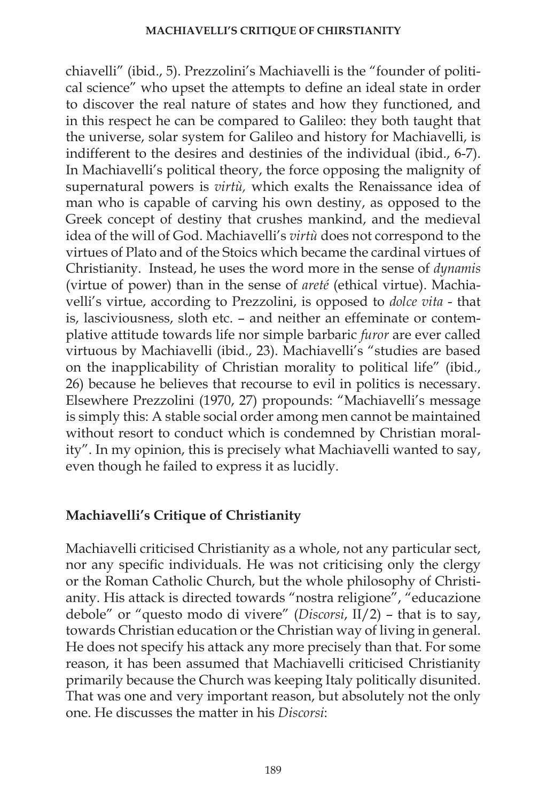chiavelli" (ibid., 5). Prezzolini's Machiavelli is the "founder of political science" who upset the attempts to define an ideal state in order to discover the real nature of states and how they functioned, and in this respect he can be compared to Galileo: they both taught that the universe, solar system for Galileo and history for Machiavelli, is indifferent to the desires and destinies of the individual (ibid., 6-7). In Machiavelli's political theory, the force opposing the malignity of supernatural powers is *virtù,* which exalts the Renaissance idea of man who is capable of carving his own destiny, as opposed to the Greek concept of destiny that crushes mankind, and the medieval idea of the will of God. Machiavelli's *virtù* does not correspond to the virtues of Plato and of the Stoics which became the cardinal virtues of Christianity. Instead, he uses the word more in the sense of *dynamis* (virtue of power) than in the sense of *areté* (ethical virtue). Machiavelli's virtue, according to Prezzolini, is opposed to *dolce vita* - that is, lasciviousness, sloth etc. – and neither an effeminate or contemplative attitude towards life nor simple barbaric *furor* are ever called virtuous by Machiavelli (ibid., 23). Machiavelli's "studies are based on the inapplicability of Christian morality to political life" (ibid., 26) because he believes that recourse to evil in politics is necessary. Elsewhere Prezzolini (1970, 27) propounds: "Machiavelli's message is simply this: A stable social order among men cannot be maintained without resort to conduct which is condemned by Christian morality". In my opinion, this is precisely what Machiavelli wanted to say, even though he failed to express it as lucidly.

# **Machiavelli's Critique of Christianity**

Machiavelli criticised Christianity as a whole, not any particular sect, nor any specific individuals. He was not criticising only the clergy or the Roman Catholic Church, but the whole philosophy of Christianity. His attack is directed towards "nostra religione", "educazione debole" or "questo modo di vivere" (*Discorsi*, II/2) – that is to say, towards Christian education or the Christian way of living in general. He does not specify his attack any more precisely than that. For some reason, it has been assumed that Machiavelli criticised Christianity primarily because the Church was keeping Italy politically disunited. That was one and very important reason, but absolutely not the only one. He discusses the matter in his *Discorsi*: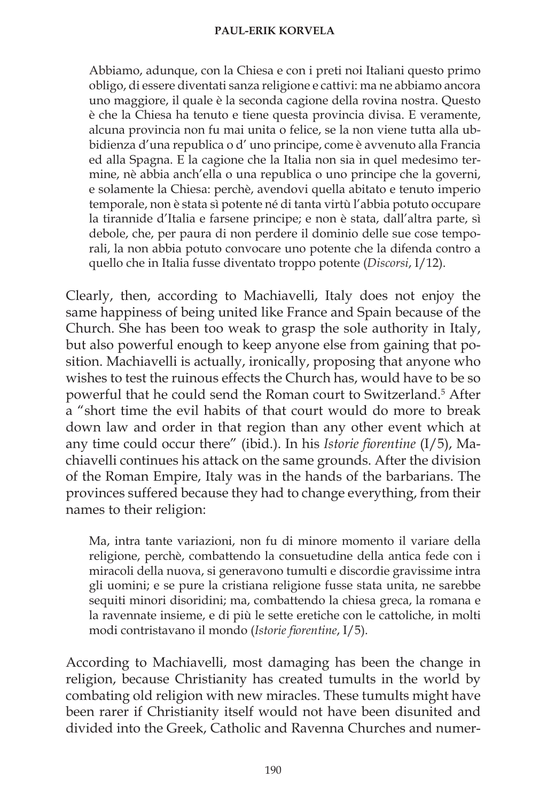Abbiamo, adunque, con la Chiesa e con i preti noi Italiani questo primo obligo, di essere diventati sanza religione e cattivi: ma ne abbiamo ancora uno maggiore, il quale è la seconda cagione della rovina nostra. Questo è che la Chiesa ha tenuto e tiene questa provincia divisa. E veramente, alcuna provincia non fu mai unita o felice, se la non viene tutta alla ubbidienza d'una republica o d' uno principe, come è avvenuto alla Francia ed alla Spagna. E la cagione che la Italia non sia in quel medesimo termine, nè abbia anch'ella o una republica o uno principe che la governi, e solamente la Chiesa: perchè, avendovi quella abitato e tenuto imperio temporale, non è stata sì potente né di tanta virtù l'abbia potuto occupare la tirannide d'Italia e farsene principe; e non è stata, dall'altra parte, sì debole, che, per paura di non perdere il dominio delle sue cose temporali, la non abbia potuto convocare uno potente che la difenda contro a quello che in Italia fusse diventato troppo potente (*Discorsi*, I/12).

Clearly, then, according to Machiavelli, Italy does not enjoy the same happiness of being united like France and Spain because of the Church. She has been too weak to grasp the sole authority in Italy, but also powerful enough to keep anyone else from gaining that position. Machiavelli is actually, ironically, proposing that anyone who wishes to test the ruinous effects the Church has, would have to be so powerful that he could send the Roman court to Switzerland.5 After a "short time the evil habits of that court would do more to break down law and order in that region than any other event which at any time could occur there" (ibid.). In his *Istorie fiorentine* (I/5), Machiavelli continues his attack on the same grounds. After the division of the Roman Empire, Italy was in the hands of the barbarians. The provinces suffered because they had to change everything, from their names to their religion:

Ma, intra tante variazioni, non fu di minore momento il variare della religione, perchè, combattendo la consuetudine della antica fede con i miracoli della nuova, si generavono tumulti e discordie gravissime intra gli uomini; e se pure la cristiana religione fusse stata unita, ne sarebbe sequiti minori disoridini; ma, combattendo la chiesa greca, la romana e la ravennate insieme, e di più le sette eretiche con le cattoliche, in molti modi contristavano il mondo (*Istorie fiorentine*, I/5).

According to Machiavelli, most damaging has been the change in religion, because Christianity has created tumults in the world by combating old religion with new miracles. These tumults might have been rarer if Christianity itself would not have been disunited and divided into the Greek, Catholic and Ravenna Churches and numer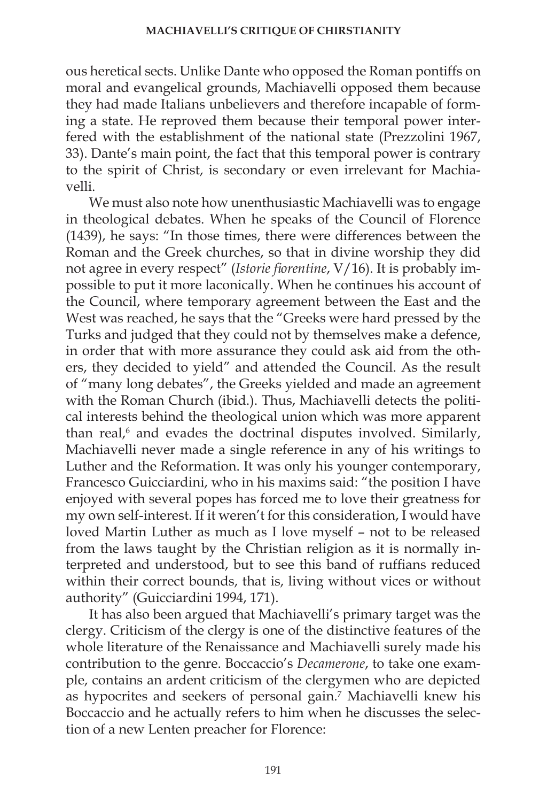ous heretical sects. Unlike Dante who opposed the Roman pontiffs on moral and evangelical grounds, Machiavelli opposed them because they had made Italians unbelievers and therefore incapable of forming a state. He reproved them because their temporal power interfered with the establishment of the national state (Prezzolini 1967, 33). Dante's main point, the fact that this temporal power is contrary to the spirit of Christ, is secondary or even irrelevant for Machiavelli.

We must also note how unenthusiastic Machiavelli was to engage in theological debates. When he speaks of the Council of Florence (1439), he says: "In those times, there were differences between the Roman and the Greek churches, so that in divine worship they did not agree in every respect" (*Istorie fiorentine*, V/16). It is probably impossible to put it more laconically. When he continues his account of the Council, where temporary agreement between the East and the West was reached, he says that the "Greeks were hard pressed by the Turks and judged that they could not by themselves make a defence, in order that with more assurance they could ask aid from the others, they decided to yield" and attended the Council. As the result of "many long debates", the Greeks yielded and made an agreement with the Roman Church (ibid.). Thus, Machiavelli detects the political interests behind the theological union which was more apparent than real,<sup>6</sup> and evades the doctrinal disputes involved. Similarly, Machiavelli never made a single reference in any of his writings to Luther and the Reformation. It was only his younger contemporary, Francesco Guicciardini, who in his maxims said: "the position I have enjoyed with several popes has forced me to love their greatness for my own self-interest. If it weren't for this consideration, I would have loved Martin Luther as much as I love myself – not to be released from the laws taught by the Christian religion as it is normally interpreted and understood, but to see this band of ruffians reduced within their correct bounds, that is, living without vices or without authority" (Guicciardini 1994, 171).

It has also been argued that Machiavelli's primary target was the clergy. Criticism of the clergy is one of the distinctive features of the whole literature of the Renaissance and Machiavelli surely made his contribution to the genre. Boccaccio's *Decamerone*, to take one example, contains an ardent criticism of the clergymen who are depicted as hypocrites and seekers of personal gain.7 Machiavelli knew his Boccaccio and he actually refers to him when he discusses the selection of a new Lenten preacher for Florence: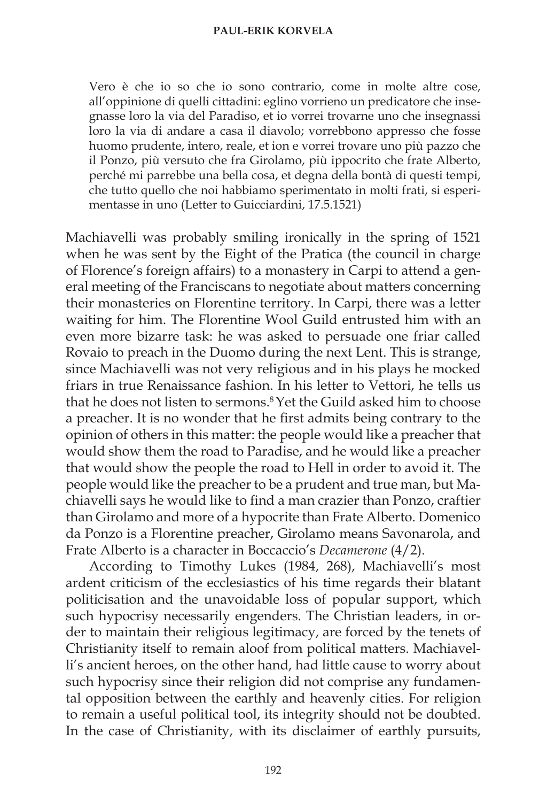### **PAUL-ERIK KORVELA**

Vero è che io so che io sono contrario, come in molte altre cose, all'oppinione di quelli cittadini: eglino vorrieno un predicatore che insegnasse loro la via del Paradiso, et io vorrei trovarne uno che insegnassi loro la via di andare a casa il diavolo; vorrebbono appresso che fosse huomo prudente, intero, reale, et ion e vorrei trovare uno più pazzo che il Ponzo, più versuto che fra Girolamo, più ippocrito che frate Alberto, perché mi parrebbe una bella cosa, et degna della bontà di questi tempi, che tutto quello che noi habbiamo sperimentato in molti frati, si esperimentasse in uno (Letter to Guicciardini, 17.5.1521)

Machiavelli was probably smiling ironically in the spring of 1521 when he was sent by the Eight of the Pratica (the council in charge of Florence's foreign affairs) to a monastery in Carpi to attend a general meeting of the Franciscans to negotiate about matters concerning their monasteries on Florentine territory. In Carpi, there was a letter waiting for him. The Florentine Wool Guild entrusted him with an even more bizarre task: he was asked to persuade one friar called Rovaio to preach in the Duomo during the next Lent. This is strange, since Machiavelli was not very religious and in his plays he mocked friars in true Renaissance fashion. In his letter to Vettori, he tells us that he does not listen to sermons.<sup>8</sup> Yet the Guild asked him to choose a preacher. It is no wonder that he first admits being contrary to the opinion of others in this matter: the people would like a preacher that would show them the road to Paradise, and he would like a preacher that would show the people the road to Hell in order to avoid it. The people would like the preacher to be a prudent and true man, but Machiavelli says he would like to find a man crazier than Ponzo, craftier than Girolamo and more of a hypocrite than Frate Alberto. Domenico da Ponzo is a Florentine preacher, Girolamo means Savonarola, and Frate Alberto is a character in Boccaccio's *Decamerone* (4/2).

According to Timothy Lukes (1984, 268), Machiavelli's most ardent criticism of the ecclesiastics of his time regards their blatant politicisation and the unavoidable loss of popular support, which such hypocrisy necessarily engenders. The Christian leaders, in order to maintain their religious legitimacy, are forced by the tenets of Christianity itself to remain aloof from political matters. Machiavelli's ancient heroes, on the other hand, had little cause to worry about such hypocrisy since their religion did not comprise any fundamental opposition between the earthly and heavenly cities. For religion to remain a useful political tool, its integrity should not be doubted. In the case of Christianity, with its disclaimer of earthly pursuits,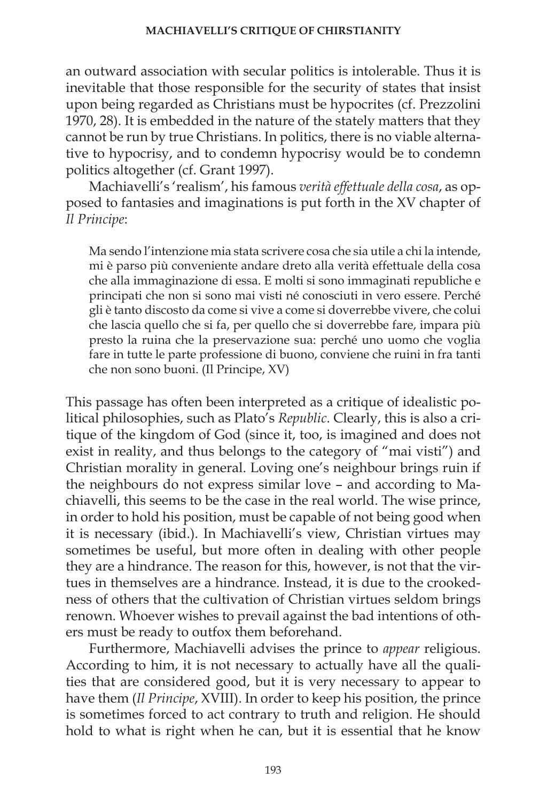an outward association with secular politics is intolerable. Thus it is inevitable that those responsible for the security of states that insist upon being regarded as Christians must be hypocrites (cf. Prezzolini 1970, 28). It is embedded in the nature of the stately matters that they cannot be run by true Christians. In politics, there is no viable alternative to hypocrisy, and to condemn hypocrisy would be to condemn politics altogether (cf. Grant 1997).

Machiavelli's 'realism', his famous *verità effettuale della cosa*, as opposed to fantasies and imaginations is put forth in the XV chapter of *Il Principe*:

Ma sendo l'intenzione mia stata scrivere cosa che sia utile a chi la intende, mi è parso più conveniente andare dreto alla verità effettuale della cosa che alla immaginazione di essa. E molti si sono immaginati republiche e principati che non si sono mai visti né conosciuti in vero essere. Perché gli è tanto discosto da come si vive a come si doverrebbe vivere, che colui che lascia quello che si fa, per quello che si doverrebbe fare, impara più presto la ruina che la preservazione sua: perché uno uomo che voglia fare in tutte le parte professione di buono, conviene che ruini in fra tanti che non sono buoni. (Il Principe, XV)

This passage has often been interpreted as a critique of idealistic political philosophies, such as Plato's *Republic*. Clearly, this is also a critique of the kingdom of God (since it, too, is imagined and does not exist in reality, and thus belongs to the category of "mai visti") and Christian morality in general. Loving one's neighbour brings ruin if the neighbours do not express similar love – and according to Machiavelli, this seems to be the case in the real world. The wise prince, in order to hold his position, must be capable of not being good when it is necessary (ibid.). In Machiavelli's view, Christian virtues may sometimes be useful, but more often in dealing with other people they are a hindrance. The reason for this, however, is not that the virtues in themselves are a hindrance. Instead, it is due to the crookedness of others that the cultivation of Christian virtues seldom brings renown. Whoever wishes to prevail against the bad intentions of others must be ready to outfox them beforehand.

Furthermore, Machiavelli advises the prince to *appear* religious. According to him, it is not necessary to actually have all the qualities that are considered good, but it is very necessary to appear to have them (*Il Principe*, XVIII). In order to keep his position, the prince is sometimes forced to act contrary to truth and religion. He should hold to what is right when he can, but it is essential that he know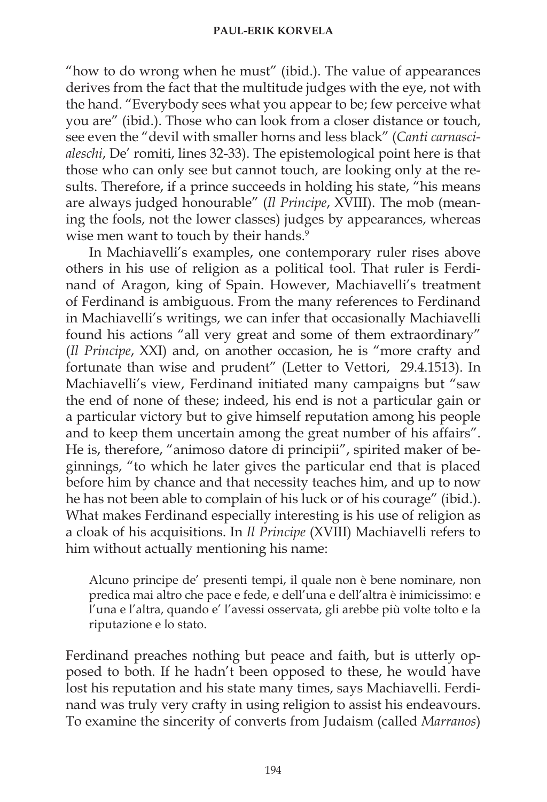"how to do wrong when he must" (ibid.). The value of appearances derives from the fact that the multitude judges with the eye, not with the hand. "Everybody sees what you appear to be; few perceive what you are" (ibid.). Those who can look from a closer distance or touch, see even the "devil with smaller horns and less black" (*Canti carnascialeschi*, De' romiti, lines 32-33). The epistemological point here is that those who can only see but cannot touch, are looking only at the results. Therefore, if a prince succeeds in holding his state, "his means are always judged honourable" (*Il Principe*, XVIII). The mob (meaning the fools, not the lower classes) judges by appearances, whereas wise men want to touch by their hands.<sup>9</sup>

In Machiavelli's examples, one contemporary ruler rises above others in his use of religion as a political tool. That ruler is Ferdinand of Aragon, king of Spain. However, Machiavelli's treatment of Ferdinand is ambiguous. From the many references to Ferdinand in Machiavelli's writings, we can infer that occasionally Machiavelli found his actions "all very great and some of them extraordinary" (*Il Principe*, XXI) and, on another occasion, he is "more crafty and fortunate than wise and prudent" (Letter to Vettori, 29.4.1513). In Machiavelli's view, Ferdinand initiated many campaigns but "saw the end of none of these; indeed, his end is not a particular gain or a particular victory but to give himself reputation among his people and to keep them uncertain among the great number of his affairs". He is, therefore, "animoso datore di principii", spirited maker of beginnings, "to which he later gives the particular end that is placed before him by chance and that necessity teaches him, and up to now he has not been able to complain of his luck or of his courage" (ibid.). What makes Ferdinand especially interesting is his use of religion as a cloak of his acquisitions. In *Il Principe* (XVIII) Machiavelli refers to him without actually mentioning his name:

Alcuno principe de' presenti tempi, il quale non è bene nominare, non predica mai altro che pace e fede, e dell'una e dell'altra è inimicissimo: e l'una e l'altra, quando e' l'avessi osservata, gli arebbe più volte tolto e la riputazione e lo stato.

Ferdinand preaches nothing but peace and faith, but is utterly opposed to both. If he hadn't been opposed to these, he would have lost his reputation and his state many times, says Machiavelli. Ferdinand was truly very crafty in using religion to assist his endeavours. To examine the sincerity of converts from Judaism (called *Marranos*)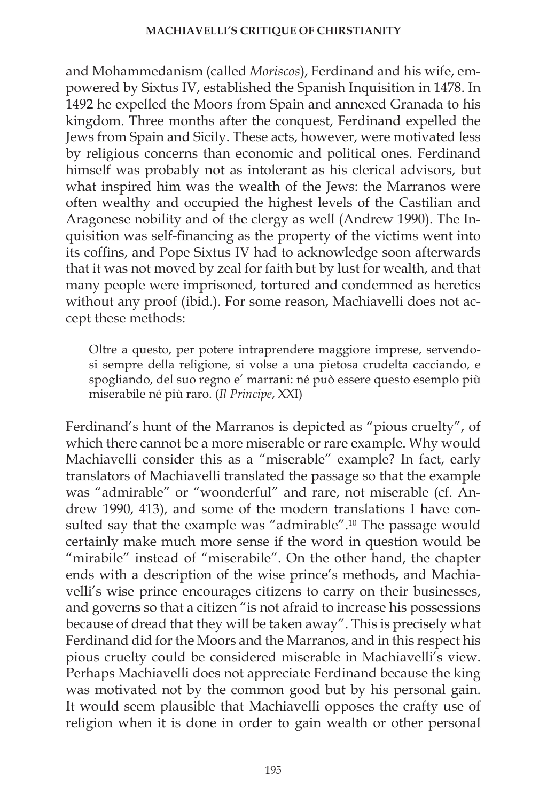and Mohammedanism (called *Moriscos*), Ferdinand and his wife, empowered by Sixtus IV, established the Spanish Inquisition in 1478. In 1492 he expelled the Moors from Spain and annexed Granada to his kingdom. Three months after the conquest, Ferdinand expelled the Jews from Spain and Sicily. These acts, however, were motivated less by religious concerns than economic and political ones. Ferdinand himself was probably not as intolerant as his clerical advisors, but what inspired him was the wealth of the Jews: the Marranos were often wealthy and occupied the highest levels of the Castilian and Aragonese nobility and of the clergy as well (Andrew 1990). The Inquisition was self-financing as the property of the victims went into its coffins, and Pope Sixtus IV had to acknowledge soon afterwards that it was not moved by zeal for faith but by lust for wealth, and that many people were imprisoned, tortured and condemned as heretics without any proof (ibid.). For some reason, Machiavelli does not accept these methods:

Oltre a questo, per potere intraprendere maggiore imprese, servendosi sempre della religione, si volse a una pietosa crudelta cacciando, e spogliando, del suo regno e' marrani: né può essere questo esemplo più miserabile né più raro. (*Il Principe*, XXI)

Ferdinand's hunt of the Marranos is depicted as "pious cruelty", of which there cannot be a more miserable or rare example. Why would Machiavelli consider this as a "miserable" example? In fact, early translators of Machiavelli translated the passage so that the example was "admirable" or "woonderful" and rare, not miserable (cf. Andrew 1990, 413), and some of the modern translations I have consulted say that the example was "admirable".<sup>10</sup> The passage would certainly make much more sense if the word in question would be "mirabile" instead of "miserabile". On the other hand, the chapter ends with a description of the wise prince's methods, and Machiavelli's wise prince encourages citizens to carry on their businesses, and governs so that a citizen "is not afraid to increase his possessions because of dread that they will be taken away". This is precisely what Ferdinand did for the Moors and the Marranos, and in this respect his pious cruelty could be considered miserable in Machiavelli's view. Perhaps Machiavelli does not appreciate Ferdinand because the king was motivated not by the common good but by his personal gain. It would seem plausible that Machiavelli opposes the crafty use of religion when it is done in order to gain wealth or other personal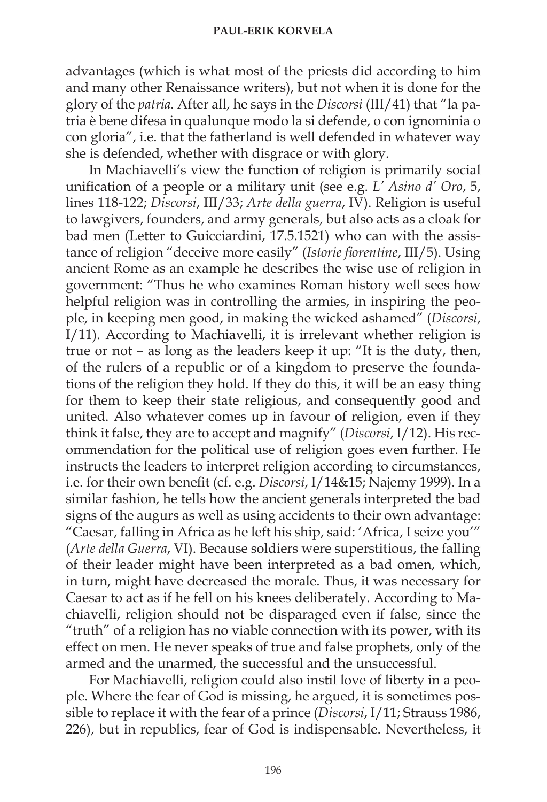advantages (which is what most of the priests did according to him and many other Renaissance writers), but not when it is done for the glory of the *patria*. After all, he says in the *Discorsi* (III/41) that "la patria è bene difesa in qualunque modo la si defende, o con ignominia o con gloria", i.e. that the fatherland is well defended in whatever way she is defended, whether with disgrace or with glory.

In Machiavelli's view the function of religion is primarily social unification of a people or a military unit (see e.g. *L' Asino d' Oro*, 5, lines 118-122; *Discorsi*, III/33; *Arte della guerra*, IV). Religion is useful to lawgivers, founders, and army generals, but also acts as a cloak for bad men (Letter to Guicciardini, 17.5.1521) who can with the assistance of religion "deceive more easily" (*Istorie fiorentine*, III/5). Using ancient Rome as an example he describes the wise use of religion in government: "Thus he who examines Roman history well sees how helpful religion was in controlling the armies, in inspiring the people, in keeping men good, in making the wicked ashamed" (*Discorsi*, I/11). According to Machiavelli, it is irrelevant whether religion is true or not – as long as the leaders keep it up: "It is the duty, then, of the rulers of a republic or of a kingdom to preserve the foundations of the religion they hold. If they do this, it will be an easy thing for them to keep their state religious, and consequently good and united. Also whatever comes up in favour of religion, even if they think it false, they are to accept and magnify" (*Discorsi*, I/12). His recommendation for the political use of religion goes even further. He instructs the leaders to interpret religion according to circumstances, i.e. for their own benefit (cf. e.g. *Discorsi*, I/14&15; Najemy 1999). In a similar fashion, he tells how the ancient generals interpreted the bad signs of the augurs as well as using accidents to their own advantage: "Caesar, falling in Africa as he left his ship, said: 'Africa, I seize you'" (*Arte della Guerra*, VI). Because soldiers were superstitious, the falling of their leader might have been interpreted as a bad omen, which, in turn, might have decreased the morale. Thus, it was necessary for Caesar to act as if he fell on his knees deliberately. According to Machiavelli, religion should not be disparaged even if false, since the "truth" of a religion has no viable connection with its power, with its effect on men. He never speaks of true and false prophets, only of the armed and the unarmed, the successful and the unsuccessful.

For Machiavelli, religion could also instil love of liberty in a people. Where the fear of God is missing, he argued, it is sometimes possible to replace it with the fear of a prince (*Discorsi*, I/11; Strauss 1986, 226), but in republics, fear of God is indispensable. Nevertheless, it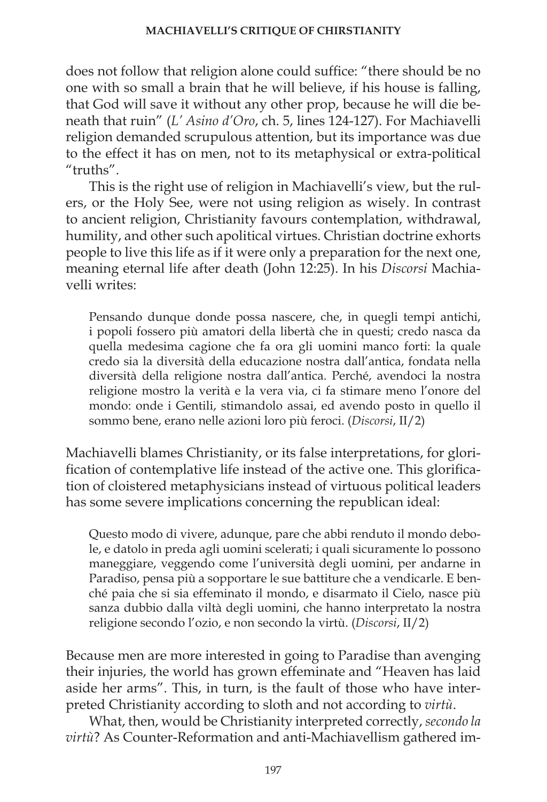does not follow that religion alone could suffice: "there should be no one with so small a brain that he will believe, if his house is falling, that God will save it without any other prop, because he will die beneath that ruin" (*L' Asino d'Oro*, ch. 5, lines 124-127). For Machiavelli religion demanded scrupulous attention, but its importance was due to the effect it has on men, not to its metaphysical or extra-political "truths".

This is the right use of religion in Machiavelli's view, but the rulers, or the Holy See, were not using religion as wisely. In contrast to ancient religion, Christianity favours contemplation, withdrawal, humility, and other such apolitical virtues. Christian doctrine exhorts people to live this life as if it were only a preparation for the next one, meaning eternal life after death (John 12:25). In his *Discorsi* Machiavelli writes:

Pensando dunque donde possa nascere, che, in quegli tempi antichi, i popoli fossero più amatori della libertà che in questi; credo nasca da quella medesima cagione che fa ora gli uomini manco forti: la quale credo sia la diversità della educazione nostra dall'antica, fondata nella diversità della religione nostra dall'antica. Perché, avendoci la nostra religione mostro la verità e la vera via, ci fa stimare meno l'onore del mondo: onde i Gentili, stimandolo assai, ed avendo posto in quello il sommo bene, erano nelle azioni loro più feroci. (*Discorsi*, II/2)

Machiavelli blames Christianity, or its false interpretations, for glorification of contemplative life instead of the active one. This glorification of cloistered metaphysicians instead of virtuous political leaders has some severe implications concerning the republican ideal:

Questo modo di vivere, adunque, pare che abbi renduto il mondo debole, e datolo in preda agli uomini scelerati; i quali sicuramente lo possono maneggiare, veggendo come l'università degli uomini, per andarne in Paradiso, pensa più a sopportare le sue battiture che a vendicarle. E benché paia che si sia effeminato il mondo, e disarmato il Cielo, nasce più sanza dubbio dalla viltà degli uomini, che hanno interpretato la nostra religione secondo l'ozio, e non secondo la virtù. (*Discorsi*, II/2)

Because men are more interested in going to Paradise than avenging their injuries, the world has grown effeminate and "Heaven has laid aside her arms". This, in turn, is the fault of those who have interpreted Christianity according to sloth and not according to *virtù*.

What, then, would be Christianity interpreted correctly, *secondo la virtù*? As Counter-Reformation and anti-Machiavellism gathered im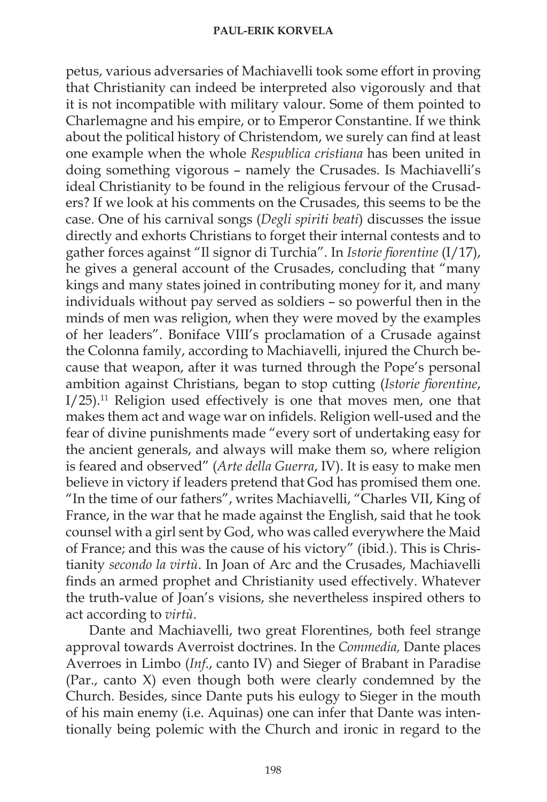petus, various adversaries of Machiavelli took some effort in proving that Christianity can indeed be interpreted also vigorously and that it is not incompatible with military valour. Some of them pointed to Charlemagne and his empire, or to Emperor Constantine. If we think about the political history of Christendom, we surely can find at least one example when the whole *Respublica cristiana* has been united in doing something vigorous – namely the Crusades. Is Machiavelli's ideal Christianity to be found in the religious fervour of the Crusaders? If we look at his comments on the Crusades, this seems to be the case. One of his carnival songs (*Degli spiriti beati*) discusses the issue directly and exhorts Christians to forget their internal contests and to gather forces against "Il signor di Turchia". In *Istorie fiorentine* (I/17), he gives a general account of the Crusades, concluding that "many kings and many states joined in contributing money for it, and many individuals without pay served as soldiers – so powerful then in the minds of men was religion, when they were moved by the examples of her leaders". Boniface VIII's proclamation of a Crusade against the Colonna family, according to Machiavelli, injured the Church because that weapon, after it was turned through the Pope's personal ambition against Christians, began to stop cutting (*Istorie fiorentine*, I/25).11 Religion used effectively is one that moves men, one that makes them act and wage war on infidels. Religion well-used and the fear of divine punishments made "every sort of undertaking easy for the ancient generals, and always will make them so, where religion is feared and observed" (*Arte della Guerra*, IV). It is easy to make men believe in victory if leaders pretend that God has promised them one. "In the time of our fathers", writes Machiavelli, "Charles VII, King of France, in the war that he made against the English, said that he took counsel with a girl sent by God, who was called everywhere the Maid of France; and this was the cause of his victory" (ibid.). This is Christianity *secondo la virtù*. In Joan of Arc and the Crusades, Machiavelli finds an armed prophet and Christianity used effectively. Whatever the truth-value of Joan's visions, she nevertheless inspired others to act according to *virtù*.

Dante and Machiavelli, two great Florentines, both feel strange approval towards Averroist doctrines. In the *Commedia,* Dante places Averroes in Limbo (*Inf*., canto IV) and Sieger of Brabant in Paradise (Par., canto X) even though both were clearly condemned by the Church. Besides, since Dante puts his eulogy to Sieger in the mouth of his main enemy (i.e. Aquinas) one can infer that Dante was intentionally being polemic with the Church and ironic in regard to the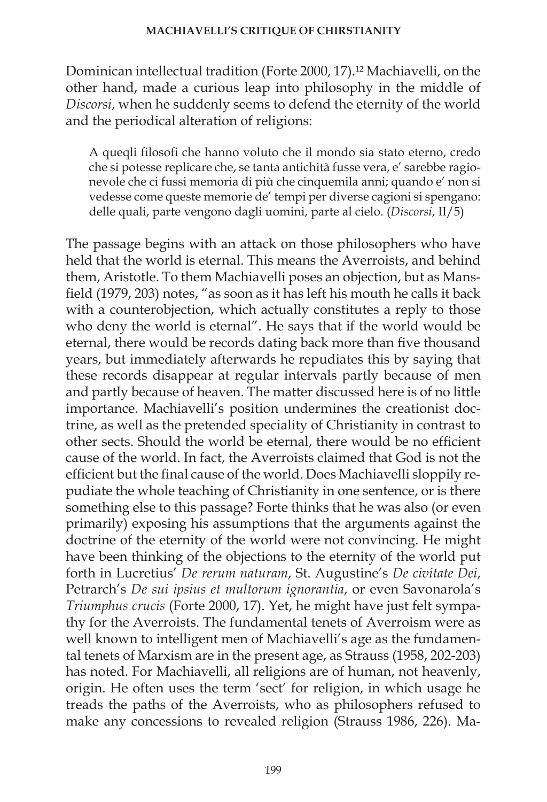Dominican intellectual tradition (Forte 2000, 17).<sup>12</sup> Machiavelli, on the other hand, made a curious leap into philosophy in the middle of *Discorsi*, when he suddenly seems to defend the eternity of the world and the periodical alteration of religions:

A queqli filosofi che hanno voluto che il mondo sia stato eterno, credo che si potesse replicare che, se tanta antichità fusse vera, e' sarebbe ragionevole che ci fussi memoria di più che cinquemila anni; quando e' non si vedesse come queste memorie de' tempi per diverse cagioni si spengano: delle quali, parte vengono dagli uomini, parte al cielo. (*Discorsi*, II/5)

The passage begins with an attack on those philosophers who have held that the world is eternal. This means the Averroists, and behind them, Aristotle. To them Machiavelli poses an objection, but as Mansfield (1979, 203) notes, "as soon as it has left his mouth he calls it back with a counterobjection, which actually constitutes a reply to those who deny the world is eternal". He says that if the world would be eternal, there would be records dating back more than five thousand years, but immediately afterwards he repudiates this by saying that these records disappear at regular intervals partly because of men and partly because of heaven. The matter discussed here is of no little importance. Machiavelli's position undermines the creationist doctrine, as well as the pretended speciality of Christianity in contrast to other sects. Should the world be eternal, there would be no efficient cause of the world. In fact, the Averroists claimed that God is not the efficient but the final cause of the world. Does Machiavelli sloppily repudiate the whole teaching of Christianity in one sentence, or is there something else to this passage? Forte thinks that he was also (or even primarily) exposing his assumptions that the arguments against the doctrine of the eternity of the world were not convincing. He might have been thinking of the objections to the eternity of the world put forth in Lucretius' *De rerum naturam*, St. Augustine's *De civitate Dei*, Petrarch's *De sui ipsius et multorum ignorantia*, or even Savonarola's *Triumphus crucis* (Forte 2000, 17). Yet, he might have just felt sympathy for the Averroists. The fundamental tenets of Averroism were as well known to intelligent men of Machiavelli's age as the fundamental tenets of Marxism are in the present age, as Strauss (1958, 202-203) has noted. For Machiavelli, all religions are of human, not heavenly, origin. He often uses the term 'sect' for religion, in which usage he treads the paths of the Averroists, who as philosophers refused to make any concessions to revealed religion (Strauss 1986, 226). Ma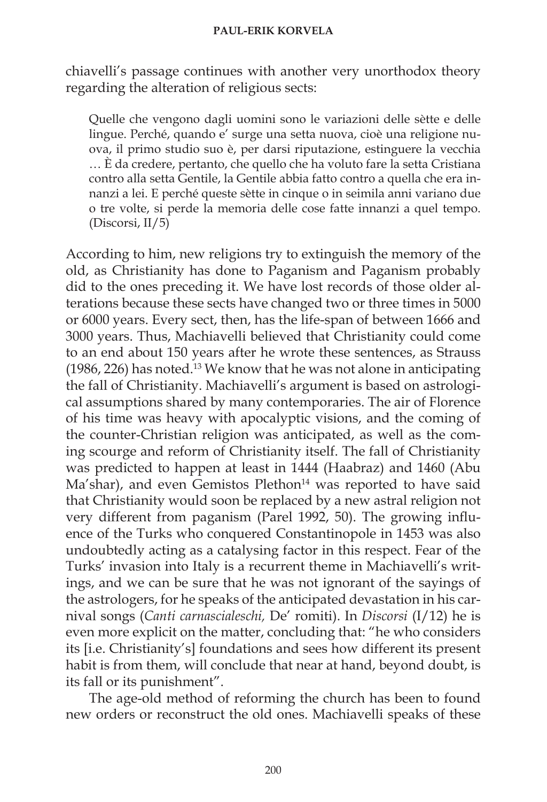chiavelli's passage continues with another very unorthodox theory regarding the alteration of religious sects:

Quelle che vengono dagli uomini sono le variazioni delle sètte e delle lingue. Perché, quando e' surge una setta nuova, cioè una religione nuova, il primo studio suo è, per darsi riputazione, estinguere la vecchia … È da credere, pertanto, che quello che ha voluto fare la setta Cristiana contro alla setta Gentile, la Gentile abbia fatto contro a quella che era innanzi a lei. E perché queste sètte in cinque o in seimila anni variano due o tre volte, si perde la memoria delle cose fatte innanzi a quel tempo. (Discorsi, II/5)

According to him, new religions try to extinguish the memory of the old, as Christianity has done to Paganism and Paganism probably did to the ones preceding it. We have lost records of those older alterations because these sects have changed two or three times in 5000 or 6000 years. Every sect, then, has the life-span of between 1666 and 3000 years. Thus, Machiavelli believed that Christianity could come to an end about 150 years after he wrote these sentences, as Strauss (1986, 226) has noted.<sup>13</sup> We know that he was not alone in anticipating the fall of Christianity. Machiavelli's argument is based on astrological assumptions shared by many contemporaries. The air of Florence of his time was heavy with apocalyptic visions, and the coming of the counter-Christian religion was anticipated, as well as the coming scourge and reform of Christianity itself. The fall of Christianity was predicted to happen at least in 1444 (Haabraz) and 1460 (Abu Ma'shar), and even Gemistos Plethon<sup>14</sup> was reported to have said that Christianity would soon be replaced by a new astral religion not very different from paganism (Parel 1992, 50). The growing influence of the Turks who conquered Constantinopole in 1453 was also undoubtedly acting as a catalysing factor in this respect. Fear of the Turks' invasion into Italy is a recurrent theme in Machiavelli's writings, and we can be sure that he was not ignorant of the sayings of the astrologers, for he speaks of the anticipated devastation in his carnival songs (*Canti carnascialeschi,* De' romiti). In *Discorsi* (I/12) he is even more explicit on the matter, concluding that: "he who considers its [i.e. Christianity's] foundations and sees how different its present habit is from them, will conclude that near at hand, beyond doubt, is its fall or its punishment".

The age-old method of reforming the church has been to found new orders or reconstruct the old ones. Machiavelli speaks of these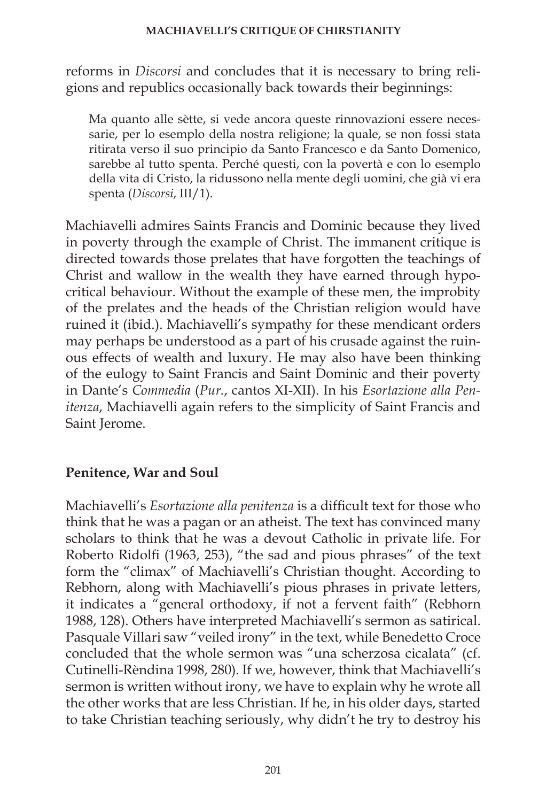reforms in *Discorsi* and concludes that it is necessary to bring religions and republics occasionally back towards their beginnings:

Ma quanto alle sètte, si vede ancora queste rinnovazioni essere necessarie, per lo esemplo della nostra religione; la quale, se non fossi stata ritirata verso il suo principio da Santo Francesco e da Santo Domenico, sarebbe al tutto spenta. Perché questi, con la povertà e con lo esemplo della vita di Cristo, la ridussono nella mente degli uomini, che già vi era spenta (*Discorsi*, III/1).

Machiavelli admires Saints Francis and Dominic because they lived in poverty through the example of Christ. The immanent critique is directed towards those prelates that have forgotten the teachings of Christ and wallow in the wealth they have earned through hypocritical behaviour. Without the example of these men, the improbity of the prelates and the heads of the Christian religion would have ruined it (ibid.). Machiavelli's sympathy for these mendicant orders may perhaps be understood as a part of his crusade against the ruinous effects of wealth and luxury. He may also have been thinking of the eulogy to Saint Francis and Saint Dominic and their poverty in Dante's *Commedia* (*Pur.*, cantos XI-XII). In his *Esortazione alla Penitenza*, Machiavelli again refers to the simplicity of Saint Francis and Saint Jerome.

# **Penitence, War and Soul**

Machiavelli's *Esortazione alla penitenza* is a difficult text for those who think that he was a pagan or an atheist. The text has convinced many scholars to think that he was a devout Catholic in private life. For Roberto Ridolfi (1963, 253), "the sad and pious phrases" of the text form the "climax" of Machiavelli's Christian thought. According to Rebhorn, along with Machiavelli's pious phrases in private letters, it indicates a "general orthodoxy, if not a fervent faith" (Rebhorn 1988, 128). Others have interpreted Machiavelli's sermon as satirical. Pasquale Villari saw "veiled irony" in the text, while Benedetto Croce concluded that the whole sermon was "una scherzosa cicalata" (cf. Cutinelli-Rèndina 1998, 280). If we, however, think that Machiavelli's sermon is written without irony, we have to explain why he wrote all the other works that are less Christian. If he, in his older days, started to take Christian teaching seriously, why didn't he try to destroy his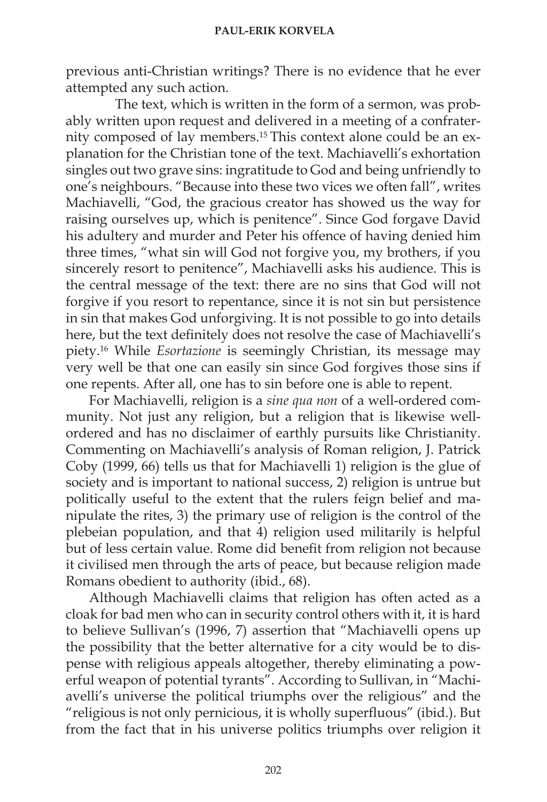previous anti-Christian writings? There is no evidence that he ever attempted any such action.

 The text, which is written in the form of a sermon, was probably written upon request and delivered in a meeting of a confraternity composed of lay members.15 This context alone could be an explanation for the Christian tone of the text. Machiavelli's exhortation singles out two grave sins: ingratitude to God and being unfriendly to one's neighbours. "Because into these two vices we often fall", writes Machiavelli, "God, the gracious creator has showed us the way for raising ourselves up, which is penitence". Since God forgave David his adultery and murder and Peter his offence of having denied him three times, "what sin will God not forgive you, my brothers, if you sincerely resort to penitence", Machiavelli asks his audience. This is the central message of the text: there are no sins that God will not forgive if you resort to repentance, since it is not sin but persistence in sin that makes God unforgiving. It is not possible to go into details here, but the text definitely does not resolve the case of Machiavelli's piety.16 While *Esortazione* is seemingly Christian, its message may very well be that one can easily sin since God forgives those sins if one repents. After all, one has to sin before one is able to repent.

For Machiavelli, religion is a *sine qua non* of a well-ordered community. Not just any religion, but a religion that is likewise wellordered and has no disclaimer of earthly pursuits like Christianity. Commenting on Machiavelli's analysis of Roman religion, J. Patrick Coby (1999, 66) tells us that for Machiavelli 1) religion is the glue of society and is important to national success, 2) religion is untrue but politically useful to the extent that the rulers feign belief and manipulate the rites, 3) the primary use of religion is the control of the plebeian population, and that 4) religion used militarily is helpful but of less certain value. Rome did benefit from religion not because it civilised men through the arts of peace, but because religion made Romans obedient to authority (ibid., 68).

Although Machiavelli claims that religion has often acted as a cloak for bad men who can in security control others with it, it is hard to believe Sullivan's (1996, 7) assertion that "Machiavelli opens up the possibility that the better alternative for a city would be to dispense with religious appeals altogether, thereby eliminating a powerful weapon of potential tyrants". According to Sullivan, in "Machiavelli's universe the political triumphs over the religious" and the "religious is not only pernicious, it is wholly superfluous" (ibid.). But from the fact that in his universe politics triumphs over religion it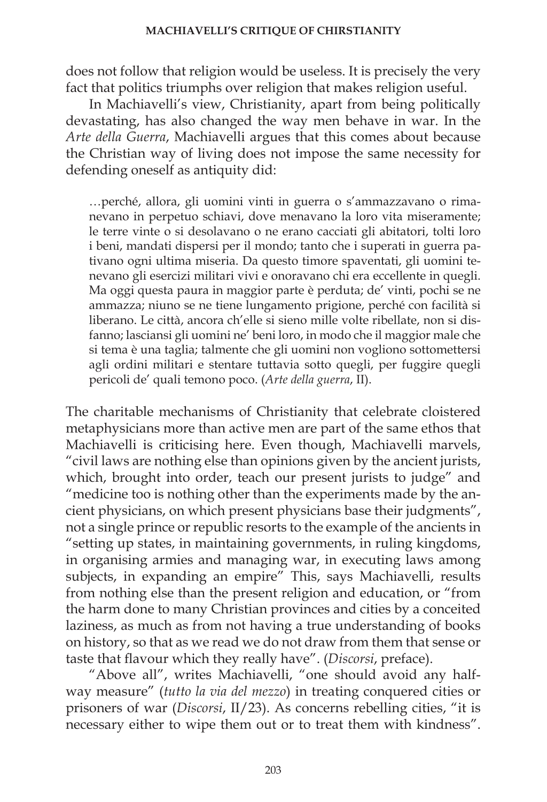does not follow that religion would be useless. It is precisely the very fact that politics triumphs over religion that makes religion useful.

In Machiavelli's view, Christianity, apart from being politically devastating, has also changed the way men behave in war. In the *Arte della Guerra*, Machiavelli argues that this comes about because the Christian way of living does not impose the same necessity for defending oneself as antiquity did:

…perché, allora, gli uomini vinti in guerra o s'ammazzavano o rimanevano in perpetuo schiavi, dove menavano la loro vita miseramente; le terre vinte o si desolavano o ne erano cacciati gli abitatori, tolti loro i beni, mandati dispersi per il mondo; tanto che i superati in guerra pativano ogni ultima miseria. Da questo timore spaventati, gli uomini tenevano gli esercizi militari vivi e onoravano chi era eccellente in quegli. Ma oggi questa paura in maggior parte è perduta; de' vinti, pochi se ne ammazza; niuno se ne tiene lungamento prigione, perché con facilità si liberano. Le città, ancora ch'elle si sieno mille volte ribellate, non si disfanno; lasciansi gli uomini ne' beni loro, in modo che il maggior male che si tema è una taglia; talmente che gli uomini non vogliono sottomettersi agli ordini militari e stentare tuttavia sotto quegli, per fuggire quegli pericoli de' quali temono poco. (*Arte della guerra*, II).

The charitable mechanisms of Christianity that celebrate cloistered metaphysicians more than active men are part of the same ethos that Machiavelli is criticising here. Even though, Machiavelli marvels, "civil laws are nothing else than opinions given by the ancient jurists, which, brought into order, teach our present jurists to judge" and "medicine too is nothing other than the experiments made by the ancient physicians, on which present physicians base their judgments", not a single prince or republic resorts to the example of the ancients in "setting up states, in maintaining governments, in ruling kingdoms, in organising armies and managing war, in executing laws among subjects, in expanding an empire" This, says Machiavelli, results from nothing else than the present religion and education, or "from the harm done to many Christian provinces and cities by a conceited laziness, as much as from not having a true understanding of books on history, so that as we read we do not draw from them that sense or taste that flavour which they really have". (*Discorsi*, preface).

"Above all", writes Machiavelli, "one should avoid any halfway measure" (*tutto la via del mezzo*) in treating conquered cities or prisoners of war (*Discorsi*, II/23). As concerns rebelling cities, "it is necessary either to wipe them out or to treat them with kindness".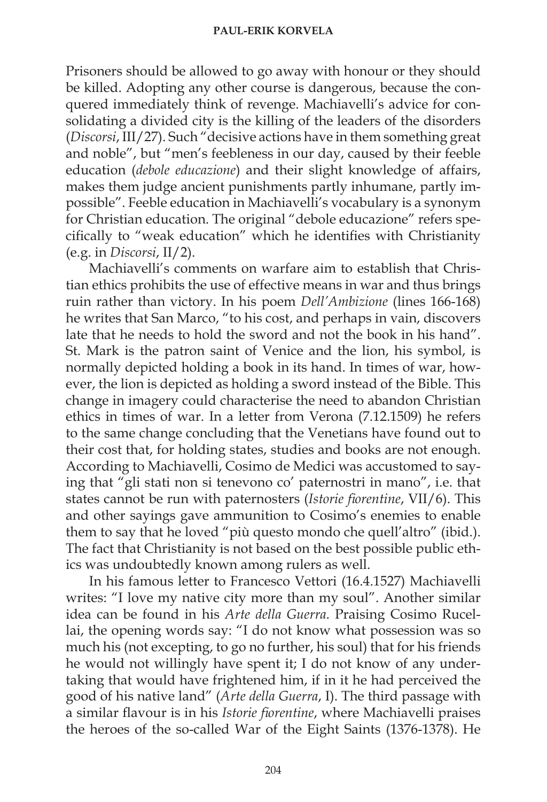Prisoners should be allowed to go away with honour or they should be killed. Adopting any other course is dangerous, because the conquered immediately think of revenge. Machiavelli's advice for consolidating a divided city is the killing of the leaders of the disorders (*Discorsi*, III/27). Such "decisive actions have in them something great and noble", but "men's feebleness in our day, caused by their feeble education (*debole educazione*) and their slight knowledge of affairs, makes them judge ancient punishments partly inhumane, partly impossible". Feeble education in Machiavelli's vocabulary is a synonym for Christian education. The original "debole educazione" refers specifically to "weak education" which he identifies with Christianity (e.g. in *Discorsi*, II/2).

Machiavelli's comments on warfare aim to establish that Christian ethics prohibits the use of effective means in war and thus brings ruin rather than victory. In his poem *Dell'Ambizione* (lines 166-168) he writes that San Marco, "to his cost, and perhaps in vain, discovers late that he needs to hold the sword and not the book in his hand". St. Mark is the patron saint of Venice and the lion, his symbol, is normally depicted holding a book in its hand. In times of war, however, the lion is depicted as holding a sword instead of the Bible. This change in imagery could characterise the need to abandon Christian ethics in times of war. In a letter from Verona (7.12.1509) he refers to the same change concluding that the Venetians have found out to their cost that, for holding states, studies and books are not enough. According to Machiavelli, Cosimo de Medici was accustomed to saying that "gli stati non si tenevono co' paternostri in mano", i.e. that states cannot be run with paternosters (*Istorie fiorentine*, VII/6). This and other sayings gave ammunition to Cosimo's enemies to enable them to say that he loved "più questo mondo che quell'altro" (ibid.). The fact that Christianity is not based on the best possible public ethics was undoubtedly known among rulers as well.

In his famous letter to Francesco Vettori (16.4.1527) Machiavelli writes: "I love my native city more than my soul". Another similar idea can be found in his *Arte della Guerra*. Praising Cosimo Rucellai, the opening words say: "I do not know what possession was so much his (not excepting, to go no further, his soul) that for his friends he would not willingly have spent it; I do not know of any undertaking that would have frightened him, if in it he had perceived the good of his native land" (*Arte della Guerra*, I). The third passage with a similar flavour is in his *Istorie fiorentine*, where Machiavelli praises the heroes of the so-called War of the Eight Saints (1376-1378). He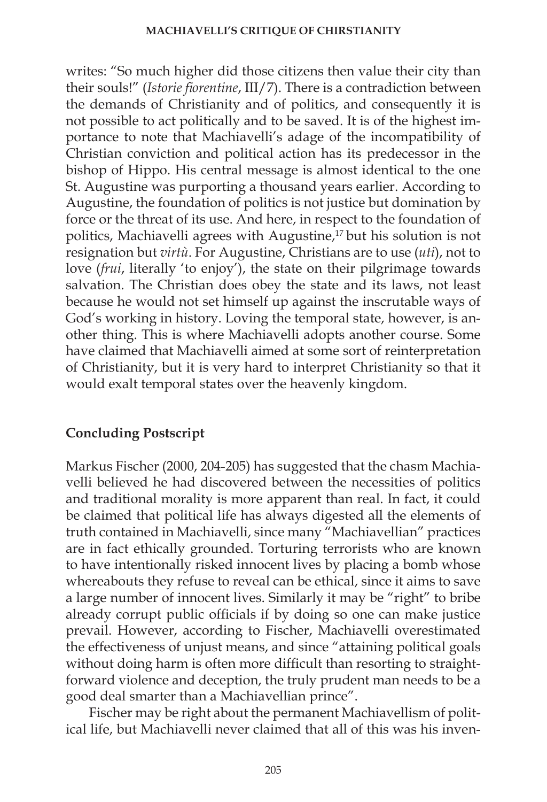writes: "So much higher did those citizens then value their city than their souls!" (*Istorie fiorentine*, III/7). There is a contradiction between the demands of Christianity and of politics, and consequently it is not possible to act politically and to be saved. It is of the highest importance to note that Machiavelli's adage of the incompatibility of Christian conviction and political action has its predecessor in the bishop of Hippo. His central message is almost identical to the one St. Augustine was purporting a thousand years earlier. According to Augustine, the foundation of politics is not justice but domination by force or the threat of its use. And here, in respect to the foundation of politics, Machiavelli agrees with Augustine,<sup>17</sup> but his solution is not resignation but *virtù*. For Augustine, Christians are to use (*uti*), not to love (*frui*, literally 'to enjoy'), the state on their pilgrimage towards salvation. The Christian does obey the state and its laws, not least because he would not set himself up against the inscrutable ways of God's working in history. Loving the temporal state, however, is another thing. This is where Machiavelli adopts another course. Some have claimed that Machiavelli aimed at some sort of reinterpretation of Christianity, but it is very hard to interpret Christianity so that it would exalt temporal states over the heavenly kingdom.

# **Concluding Postscript**

Markus Fischer (2000, 204-205) has suggested that the chasm Machiavelli believed he had discovered between the necessities of politics and traditional morality is more apparent than real. In fact, it could be claimed that political life has always digested all the elements of truth contained in Machiavelli, since many "Machiavellian" practices are in fact ethically grounded. Torturing terrorists who are known to have intentionally risked innocent lives by placing a bomb whose whereabouts they refuse to reveal can be ethical, since it aims to save a large number of innocent lives. Similarly it may be "right" to bribe already corrupt public officials if by doing so one can make justice prevail. However, according to Fischer, Machiavelli overestimated the effectiveness of unjust means, and since "attaining political goals without doing harm is often more difficult than resorting to straightforward violence and deception, the truly prudent man needs to be a good deal smarter than a Machiavellian prince".

Fischer may be right about the permanent Machiavellism of political life, but Machiavelli never claimed that all of this was his inven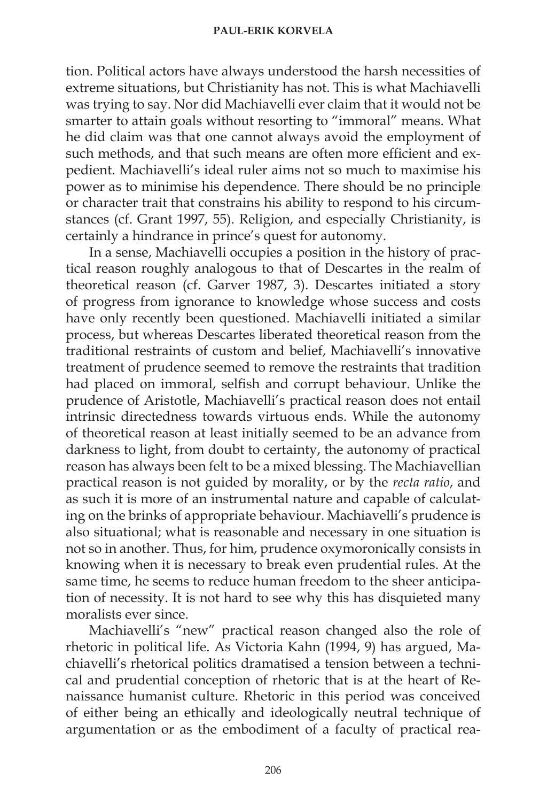tion. Political actors have always understood the harsh necessities of extreme situations, but Christianity has not. This is what Machiavelli was trying to say. Nor did Machiavelli ever claim that it would not be smarter to attain goals without resorting to "immoral" means. What he did claim was that one cannot always avoid the employment of such methods, and that such means are often more efficient and expedient. Machiavelli's ideal ruler aims not so much to maximise his power as to minimise his dependence. There should be no principle or character trait that constrains his ability to respond to his circumstances (cf. Grant 1997, 55). Religion, and especially Christianity, is certainly a hindrance in prince's quest for autonomy.

In a sense, Machiavelli occupies a position in the history of practical reason roughly analogous to that of Descartes in the realm of theoretical reason (cf. Garver 1987, 3). Descartes initiated a story of progress from ignorance to knowledge whose success and costs have only recently been questioned. Machiavelli initiated a similar process, but whereas Descartes liberated theoretical reason from the traditional restraints of custom and belief, Machiavelli's innovative treatment of prudence seemed to remove the restraints that tradition had placed on immoral, selfish and corrupt behaviour. Unlike the prudence of Aristotle, Machiavelli's practical reason does not entail intrinsic directedness towards virtuous ends. While the autonomy of theoretical reason at least initially seemed to be an advance from darkness to light, from doubt to certainty, the autonomy of practical reason has always been felt to be a mixed blessing. The Machiavellian practical reason is not guided by morality, or by the *recta ratio*, and as such it is more of an instrumental nature and capable of calculating on the brinks of appropriate behaviour. Machiavelli's prudence is also situational; what is reasonable and necessary in one situation is not so in another. Thus, for him, prudence oxymoronically consists in knowing when it is necessary to break even prudential rules. At the same time, he seems to reduce human freedom to the sheer anticipation of necessity. It is not hard to see why this has disquieted many moralists ever since.

Machiavelli's "new" practical reason changed also the role of rhetoric in political life. As Victoria Kahn (1994, 9) has argued, Machiavelli's rhetorical politics dramatised a tension between a technical and prudential conception of rhetoric that is at the heart of Renaissance humanist culture. Rhetoric in this period was conceived of either being an ethically and ideologically neutral technique of argumentation or as the embodiment of a faculty of practical rea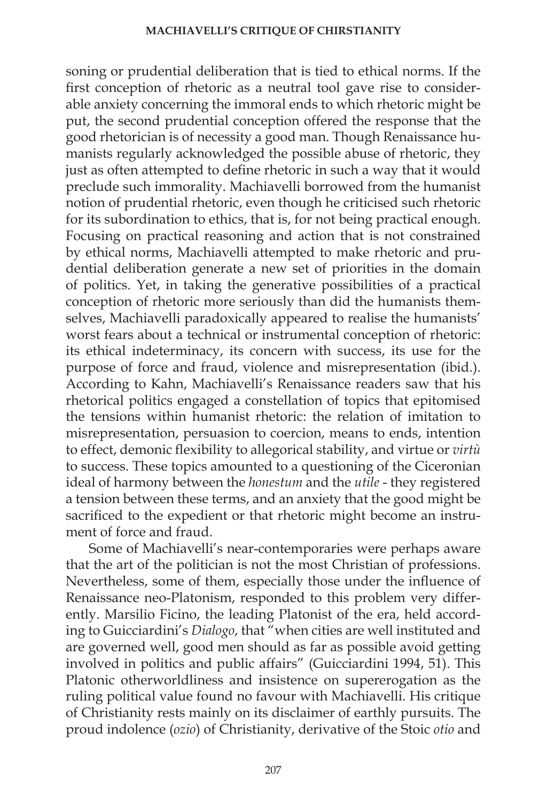soning or prudential deliberation that is tied to ethical norms. If the first conception of rhetoric as a neutral tool gave rise to considerable anxiety concerning the immoral ends to which rhetoric might be put, the second prudential conception offered the response that the good rhetorician is of necessity a good man. Though Renaissance humanists regularly acknowledged the possible abuse of rhetoric, they just as often attempted to define rhetoric in such a way that it would preclude such immorality. Machiavelli borrowed from the humanist notion of prudential rhetoric, even though he criticised such rhetoric for its subordination to ethics, that is, for not being practical enough. Focusing on practical reasoning and action that is not constrained by ethical norms, Machiavelli attempted to make rhetoric and prudential deliberation generate a new set of priorities in the domain of politics. Yet, in taking the generative possibilities of a practical conception of rhetoric more seriously than did the humanists themselves, Machiavelli paradoxically appeared to realise the humanists' worst fears about a technical or instrumental conception of rhetoric: its ethical indeterminacy, its concern with success, its use for the purpose of force and fraud, violence and misrepresentation (ibid.). According to Kahn, Machiavelli's Renaissance readers saw that his rhetorical politics engaged a constellation of topics that epitomised the tensions within humanist rhetoric: the relation of imitation to misrepresentation, persuasion to coercion, means to ends, intention to effect, demonic flexibility to allegorical stability, and virtue or *virtù*  to success. These topics amounted to a questioning of the Ciceronian ideal of harmony between the *honestum* and the *utile* - they registered a tension between these terms, and an anxiety that the good might be sacrificed to the expedient or that rhetoric might become an instrument of force and fraud.

Some of Machiavelli's near-contemporaries were perhaps aware that the art of the politician is not the most Christian of professions. Nevertheless, some of them, especially those under the influence of Renaissance neo-Platonism, responded to this problem very differently. Marsilio Ficino, the leading Platonist of the era, held according to Guicciardini's *Dialogo*, that "when cities are well instituted and are governed well, good men should as far as possible avoid getting involved in politics and public affairs" (Guicciardini 1994, 51). This Platonic otherworldliness and insistence on supererogation as the ruling political value found no favour with Machiavelli. His critique of Christianity rests mainly on its disclaimer of earthly pursuits. The proud indolence (*ozio*) of Christianity, derivative of the Stoic *otio* and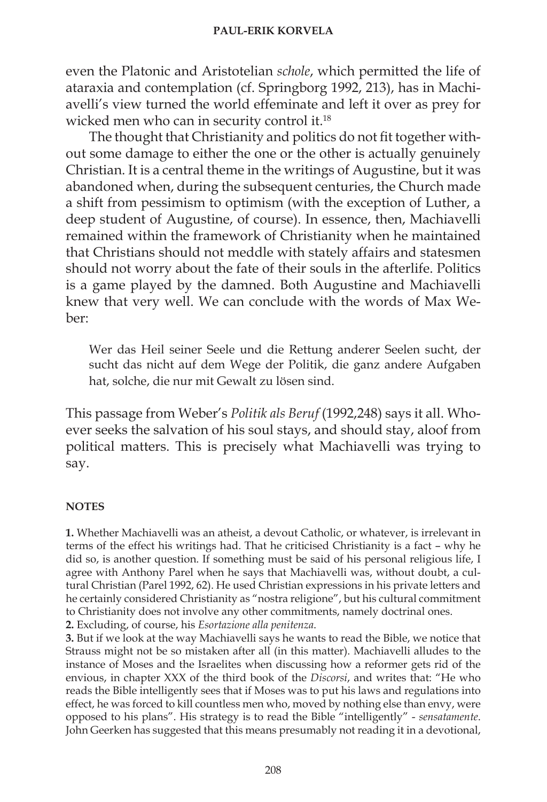even the Platonic and Aristotelian *schole*, which permitted the life of ataraxia and contemplation (cf. Springborg 1992, 213), has in Machiavelli's view turned the world effeminate and left it over as prey for wicked men who can in security control it.18

The thought that Christianity and politics do not fit together without some damage to either the one or the other is actually genuinely Christian. It is a central theme in the writings of Augustine, but it was abandoned when, during the subsequent centuries, the Church made a shift from pessimism to optimism (with the exception of Luther, a deep student of Augustine, of course). In essence, then, Machiavelli remained within the framework of Christianity when he maintained that Christians should not meddle with stately affairs and statesmen should not worry about the fate of their souls in the afterlife. Politics is a game played by the damned. Both Augustine and Machiavelli knew that very well. We can conclude with the words of Max Weber:

Wer das Heil seiner Seele und die Rettung anderer Seelen sucht, der sucht das nicht auf dem Wege der Politik, die ganz andere Aufgaben hat, solche, die nur mit Gewalt zu lösen sind.

This passage from Weber's *Politik als Beruf* (1992,248) says it all. Whoever seeks the salvation of his soul stays, and should stay, aloof from political matters. This is precisely what Machiavelli was trying to say.

### **NOTES**

**1.** Whether Machiavelli was an atheist, a devout Catholic, or whatever, is irrelevant in terms of the effect his writings had. That he criticised Christianity is a fact – why he did so, is another question. If something must be said of his personal religious life, I agree with Anthony Parel when he says that Machiavelli was, without doubt, a cultural Christian (Parel 1992, 62). He used Christian expressions in his private letters and he certainly considered Christianity as "nostra religione", but his cultural commitment to Christianity does not involve any other commitments, namely doctrinal ones.

**2.** Excluding, of course, his *Esortazione alla penitenza*.

**3.** But if we look at the way Machiavelli says he wants to read the Bible, we notice that Strauss might not be so mistaken after all (in this matter). Machiavelli alludes to the instance of Moses and the Israelites when discussing how a reformer gets rid of the envious, in chapter XXX of the third book of the *Discorsi*, and writes that: "He who reads the Bible intelligently sees that if Moses was to put his laws and regulations into effect, he was forced to kill countless men who, moved by nothing else than envy, were opposed to his plans". His strategy is to read the Bible "intelligently" - *sensatamente*. John Geerken has suggested that this means presumably not reading it in a devotional,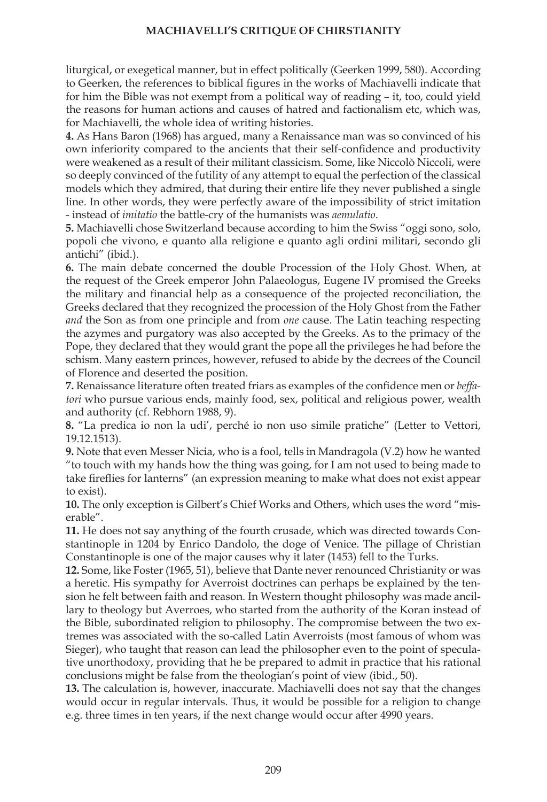liturgical, or exegetical manner, but in effect politically (Geerken 1999, 580). According to Geerken, the references to biblical figures in the works of Machiavelli indicate that for him the Bible was not exempt from a political way of reading – it, too, could yield the reasons for human actions and causes of hatred and factionalism etc, which was, for Machiavelli, the whole idea of writing histories.

**4.** As Hans Baron (1968) has argued, many a Renaissance man was so convinced of his own inferiority compared to the ancients that their self-confidence and productivity were weakened as a result of their militant classicism. Some, like Niccolò Niccoli, were so deeply convinced of the futility of any attempt to equal the perfection of the classical models which they admired, that during their entire life they never published a single line. In other words, they were perfectly aware of the impossibility of strict imitation - instead of *imitatio* the battle-cry of the humanists was *aemulatio*.

**5.** Machiavelli chose Switzerland because according to him the Swiss "oggi sono, solo, popoli che vivono, e quanto alla religione e quanto agli ordini militari, secondo gli antichi" (ibid.).

**6.** The main debate concerned the double Procession of the Holy Ghost. When, at the request of the Greek emperor John Palaeologus, Eugene IV promised the Greeks the military and financial help as a consequence of the projected reconciliation, the Greeks declared that they recognized the procession of the Holy Ghost from the Father *and* the Son as from one principle and from *one* cause. The Latin teaching respecting the azymes and purgatory was also accepted by the Greeks. As to the primacy of the Pope, they declared that they would grant the pope all the privileges he had before the schism. Many eastern princes, however, refused to abide by the decrees of the Council of Florence and deserted the position.

**7.** Renaissance literature often treated friars as examples of the confidence men or *beffatori* who pursue various ends, mainly food, sex, political and religious power, wealth and authority (cf. Rebhorn 1988, 9).

**8.** "La predica io non la udi', perché io non uso simile pratiche" (Letter to Vettori, 19.12.1513).

**9.** Note that even Messer Nicia, who is a fool, tells in Mandragola (V.2) how he wanted "to touch with my hands how the thing was going, for I am not used to being made to take fireflies for lanterns" (an expression meaning to make what does not exist appear to exist).

**10.** The only exception is Gilbert's Chief Works and Others, which uses the word "miserable".

**11.** He does not say anything of the fourth crusade, which was directed towards Constantinople in 1204 by Enrico Dandolo, the doge of Venice. The pillage of Christian Constantinople is one of the major causes why it later (1453) fell to the Turks.

**12.** Some, like Foster (1965, 51), believe that Dante never renounced Christianity or was a heretic. His sympathy for Averroist doctrines can perhaps be explained by the tension he felt between faith and reason. In Western thought philosophy was made ancillary to theology but Averroes, who started from the authority of the Koran instead of the Bible, subordinated religion to philosophy. The compromise between the two extremes was associated with the so-called Latin Averroists (most famous of whom was Sieger), who taught that reason can lead the philosopher even to the point of speculative unorthodoxy, providing that he be prepared to admit in practice that his rational conclusions might be false from the theologian's point of view (ibid., 50).

**13.** The calculation is, however, inaccurate. Machiavelli does not say that the changes would occur in regular intervals. Thus, it would be possible for a religion to change e.g. three times in ten years, if the next change would occur after 4990 years.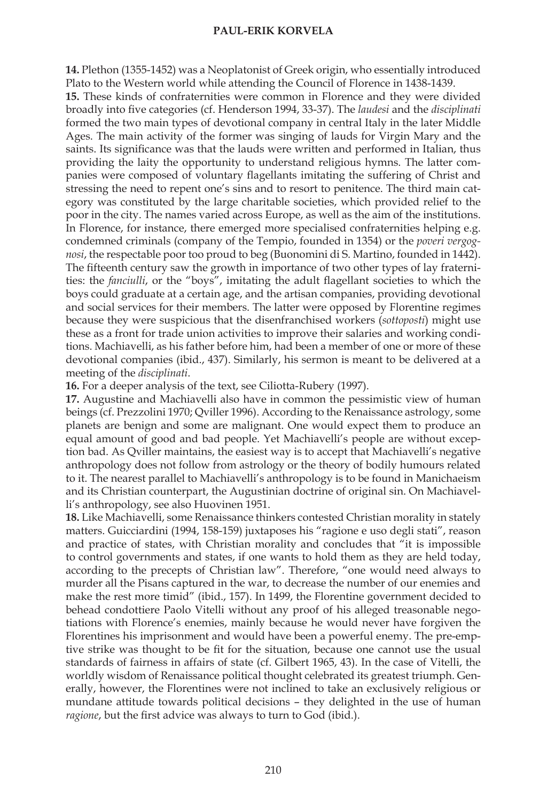#### **PAUL-ERIK KORVELA**

**14.** Plethon (1355-1452) was a Neoplatonist of Greek origin, who essentially introduced Plato to the Western world while attending the Council of Florence in 1438-1439.

**15.** These kinds of confraternities were common in Florence and they were divided broadly into five categories (cf. Henderson 1994, 33-37). The *laudesi* and the *disciplinati* formed the two main types of devotional company in central Italy in the later Middle Ages. The main activity of the former was singing of lauds for Virgin Mary and the saints. Its significance was that the lauds were written and performed in Italian, thus providing the laity the opportunity to understand religious hymns. The latter companies were composed of voluntary flagellants imitating the suffering of Christ and stressing the need to repent one's sins and to resort to penitence. The third main category was constituted by the large charitable societies, which provided relief to the poor in the city. The names varied across Europe, as well as the aim of the institutions. In Florence, for instance, there emerged more specialised confraternities helping e.g. condemned criminals (company of the Tempio, founded in 1354) or the *poveri vergognosi*, the respectable poor too proud to beg (Buonomini di S. Martino, founded in 1442). The fifteenth century saw the growth in importance of two other types of lay fraternities: the *fanciulli*, or the "boys", imitating the adult flagellant societies to which the boys could graduate at a certain age, and the artisan companies, providing devotional and social services for their members. The latter were opposed by Florentine regimes because they were suspicious that the disenfranchised workers (*sottoposti*) might use these as a front for trade union activities to improve their salaries and working conditions. Machiavelli, as his father before him, had been a member of one or more of these devotional companies (ibid., 437). Similarly, his sermon is meant to be delivered at a meeting of the *disciplinati*.

**16.** For a deeper analysis of the text, see Ciliotta-Rubery (1997).

**17.** Augustine and Machiavelli also have in common the pessimistic view of human beings (cf. Prezzolini 1970; Qviller 1996). According to the Renaissance astrology, some planets are benign and some are malignant. One would expect them to produce an equal amount of good and bad people. Yet Machiavelli's people are without exception bad. As Qviller maintains, the easiest way is to accept that Machiavelli's negative anthropology does not follow from astrology or the theory of bodily humours related to it. The nearest parallel to Machiavelli's anthropology is to be found in Manichaeism and its Christian counterpart, the Augustinian doctrine of original sin. On Machiavelli's anthropology, see also Huovinen 1951.

**18.** Like Machiavelli, some Renaissance thinkers contested Christian morality in stately matters. Guicciardini (1994, 158-159) juxtaposes his "ragione e uso degli stati", reason and practice of states, with Christian morality and concludes that "it is impossible to control governments and states, if one wants to hold them as they are held today, according to the precepts of Christian law". Therefore, "one would need always to murder all the Pisans captured in the war, to decrease the number of our enemies and make the rest more timid" (ibid., 157). In 1499, the Florentine government decided to behead condottiere Paolo Vitelli without any proof of his alleged treasonable negotiations with Florence's enemies, mainly because he would never have forgiven the Florentines his imprisonment and would have been a powerful enemy. The pre-emptive strike was thought to be fit for the situation, because one cannot use the usual standards of fairness in affairs of state (cf. Gilbert 1965, 43). In the case of Vitelli, the worldly wisdom of Renaissance political thought celebrated its greatest triumph. Generally, however, the Florentines were not inclined to take an exclusively religious or mundane attitude towards political decisions – they delighted in the use of human *ragione*, but the first advice was always to turn to God (ibid.).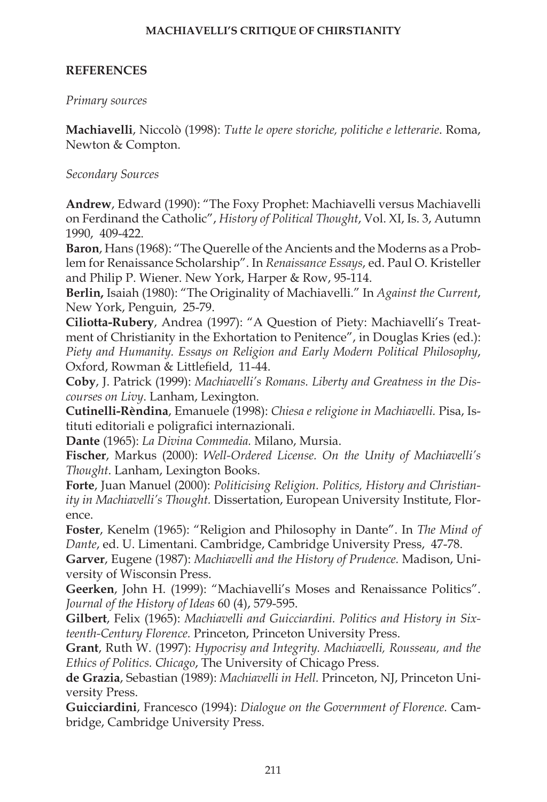### **REFERENCES**

*Primary sources*

**Machiavelli**, Niccolò (1998): *Tutte le opere storiche, politiche e letterarie*. Roma, Newton & Compton.

*Secondary Sources*

**Andrew**, Edward (1990): "The Foxy Prophet: Machiavelli versus Machiavelli on Ferdinand the Catholic", *History of Political Thought*, Vol. XI, Is. 3, Autumn 1990, 409-422.

**Baron**, Hans (1968): "The Querelle of the Ancients and the Moderns as a Problem for Renaissance Scholarship". In *Renaissance Essays*, ed. Paul O. Kristeller and Philip P. Wiener. New York, Harper & Row, 95-114.

**Berlin,** Isaiah (1980): "The Originality of Machiavelli." In *Against the Current*, New York, Penguin, 25-79.

**Ciliotta-Rubery**, Andrea (1997): "A Question of Piety: Machiavelli's Treatment of Christianity in the Exhortation to Penitence", in Douglas Kries (ed.): *Piety and Humanity. Essays on Religion and Early Modern Political Philosophy*, Oxford, Rowman & Littlefield, 11-44.

**Coby**, J. Patrick (1999): *Machiavelli's Romans. Liberty and Greatness in the Discourses on Livy*. Lanham, Lexington.

**Cutinelli-Rèndina**, Emanuele (1998): *Chiesa e religione in Machiavelli.* Pisa, Istituti editoriali e poligrafici internazionali.

**Dante** (1965): *La Divina Commedia.* Milano, Mursia.

**Fischer**, Markus (2000): *Well-Ordered License. On the Unity of Machiavelli's Thought*. Lanham, Lexington Books.

**Forte**, Juan Manuel (2000): *Politicising Religion. Politics, History and Christianity in Machiavelli's Thought.* Dissertation, European University Institute, Florence.

**Foster**, Kenelm (1965): "Religion and Philosophy in Dante". In *The Mind of Dante*, ed. U. Limentani. Cambridge, Cambridge University Press, 47-78.

**Garver**, Eugene (1987): *Machiavelli and the History of Prudence.* Madison, University of Wisconsin Press.

**Geerken**, John H. (1999): "Machiavelli's Moses and Renaissance Politics". *Journal of the History of Ideas* 60 (4), 579-595.

**Gilbert**, Felix (1965): *Machiavelli and Guicciardini. Politics and History in Sixteenth-Century Florence.* Princeton, Princeton University Press.

**Grant**, Ruth W. (1997): *Hypocrisy and Integrity. Machiavelli, Rousseau, and the Ethics of Politics. Chicago*, The University of Chicago Press.

**de Grazia**, Sebastian (1989): *Machiavelli in Hell.* Princeton, NJ, Princeton University Press.

**Guicciardini**, Francesco (1994): *Dialogue on the Government of Florence.* Cambridge, Cambridge University Press.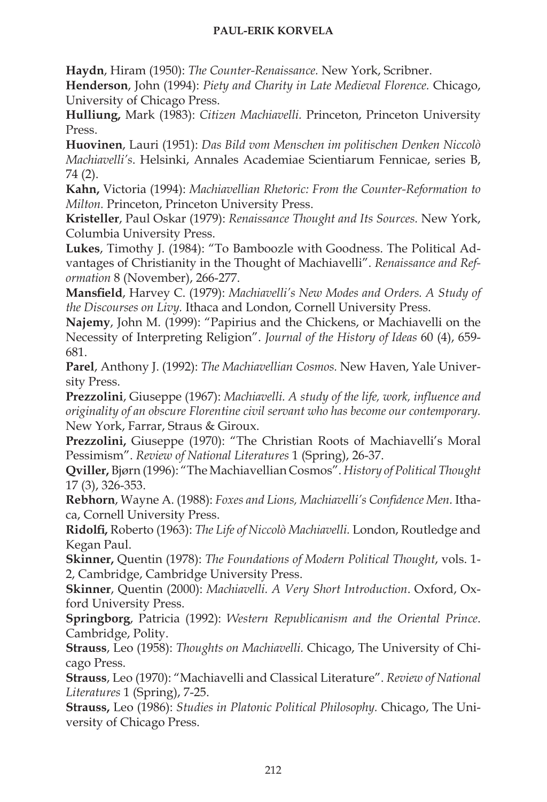### **PAUL-ERIK KORVELA**

**Haydn**, Hiram (1950): *The Counter-Renaissance.* New York, Scribner.

**Henderson**, John (1994): *Piety and Charity in Late Medieval Florence.* Chicago, University of Chicago Press.

**Hulliung,** Mark (1983): *Citizen Machiavelli.* Princeton, Princeton University Press.

**Huovinen**, Lauri (1951): *Das Bild vom Menschen im politischen Denken Niccolò Machiavelli's*. Helsinki, Annales Academiae Scientiarum Fennicae, series B, 74 (2).

**Kahn,** Victoria (1994): *Machiavellian Rhetoric: From the Counter-Reformation to Milton.* Princeton, Princeton University Press.

**Kristeller**, Paul Oskar (1979): *Renaissance Thought and Its Sources.* New York, Columbia University Press.

**Lukes**, Timothy J. (1984): "To Bamboozle with Goodness. The Political Advantages of Christianity in the Thought of Machiavelli". *Renaissance and Reformation* 8 (November), 266-277.

**Mansfield**, Harvey C. (1979): *Machiavelli's New Modes and Orders. A Study of the Discourses on Livy.* Ithaca and London, Cornell University Press.

**Najemy**, John M. (1999): "Papirius and the Chickens, or Machiavelli on the Necessity of Interpreting Religion". *Journal of the History of Ideas* 60 (4), 659- 681.

**Parel**, Anthony J. (1992): *The Machiavellian Cosmos.* New Haven, Yale University Press.

**Prezzolini**, Giuseppe (1967): *Machiavelli. A study of the life, work, influence and originality of an obscure Florentine civil servant who has become our contemporary.* New York, Farrar, Straus & Giroux.

**Prezzolini,** Giuseppe (1970): "The Christian Roots of Machiavelli's Moral Pessimism". *Review of National Literatures* 1 (Spring), 26-37.

**Qviller,** Bjørn (1996): "The Machiavellian Cosmos". *History of Political Thought* 17 (3), 326-353.

**Rebhorn**, Wayne A. (1988): *Foxes and Lions, Machiavelli's Confidence Men.* Ithaca, Cornell University Press.

**Ridolfi,** Roberto (1963): *The Life of Niccolò Machiavelli.* London, Routledge and Kegan Paul.

**Skinner,** Quentin (1978): *The Foundations of Modern Political Thought*, vols. 1- 2, Cambridge, Cambridge University Press.

**Skinner**, Quentin (2000): *Machiavelli. A Very Short Introduction*. Oxford, Oxford University Press.

**Springborg**, Patricia (1992): *Western Republicanism and the Oriental Prince*. Cambridge, Polity.

**Strauss**, Leo (1958): *Thoughts on Machiavelli.* Chicago, The University of Chicago Press.

**Strauss**, Leo (1970): "Machiavelli and Classical Literature". *Review of National Literatures* 1 (Spring), 7-25.

**Strauss,** Leo (1986): *Studies in Platonic Political Philosophy.* Chicago, The University of Chicago Press.